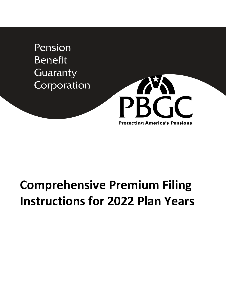Pension **Benefit** Guaranty Corporation



# **Comprehensive Premium Filing Instructions for 2022 Plan Years**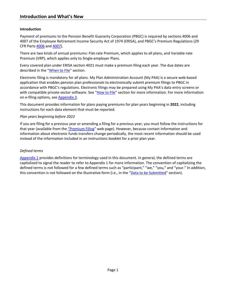# <span id="page-2-0"></span>**Introduction**

Payment of premiums to the Pension Benefit Guaranty Corporation (PBGC) is required by sections 4006 and 4007 of the Employee Retirement Income Security Act of 1974 (ERISA), and PBGC's Premium Regulations (29 CFR Part[s 4006](https://www.ecfr.gov/cgi-bin/text-idx?SID=a27c961f53cf0deb9dcbc571af862b31&mc=true&node=pt29.9.4006&rgn=div5) an[d 4007\)](https://www.ecfr.gov/cgi-bin/text-idx?SID=ee7473b44aebe60279b0eeab580163f9&mc=true&node=pt29.9.4007&rgn=div5).

There are two kinds of annual premiums: Flat-rate Premium, which applies to all plans, and Variable-rate Premium (VRP), which applies only to Single-employer Plans.

Every covered plan under ERISA section 4021 must make a premium filing each year. The due dates are described in the ["When to File"](#page-6-0) section.

Electronic filing is mandatory for all plans. My Plan Administration Account (My PAA) is a secure web-based application that enables pension plan professionals to electronically submit premium filings to PBGC in accordance with PBGC's regulations. Electronic filings may be prepared using My PAA's data entry screens or with compatible private-sector software. See ["How to File"](#page-10-0) section for more information. For more information on e-filing options, see [Appendix 3.](#page-63-0)

This document provides information for plans paying premiums for plan years beginning in **2022**, including instructions for each data element that must be reported.

# *Plan years beginning before 2022*

If you are filing for a previous year or amending a filing for a previous year, you must follow the instructions for that year (available from the ["Premium Filing"](https://www.pbgc.gov/prac/prem/premium-filing-payment-and-instructions) web page). However, because contact information and information about electronic funds transfers change periodically, the most recent information should be used instead of the information included in an instructions booklet for a prior plan year.

# *Defined terms*

[Appendix 1](#page-58-0) provides definitions for terminology used in this document. In general, the defined terms are capitalized to signal the reader to refer to Appendix 1 for more information. The convention of capitalizing the defined terms is not followed for a few defined terms such as "participant," "we," "you," and "your." In addition, this convention is not followed on the illustrative form (i.e., in the ["Data to be Submitted"](#page-32-0) section).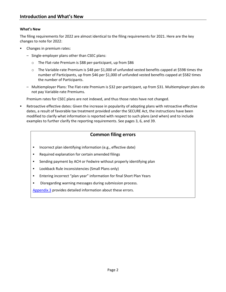# **What's New**

The filing requirements for 2022 are almost identical to the filing requirements for 2021. Here are the key changes to note for 2022:

- Changes in premium rates:
	- Single-employer plans other than CSEC plans:
		- o The Flat-rate Premium is \$88 per-participant, up from \$86
		- $\circ$  The Variable-rate Premium is \$48 per \$1,000 of unfunded vested benefits capped at \$598 times the number of Participants, up from \$46 per \$1,000 of unfunded vested benefits capped at \$582 times the number of Participants.
	- Multiemployer Plans: The Flat-rate Premium is \$32 per-participant, up from \$31. Multiemployer plans do not pay Variable-rate Premiums.

Premium rates for CSEC plans are not indexed, and thus those rates have not changed.

 Retroactive effective dates: Given the increase in popularity of adopting plans with retroactive effective dates, a result of favorable tax treatment provided under the SECURE Act, the instructions have been modified to clarify what information is reported with respect to such plans (and when) and to include examples to further clarify the reporting requirements. See pages 3, 6, and 39.

# **Common filing errors**

- **Incorrect plan identifying information (e.g., effective date)**
- **Required explanation for certain amended filings**
- Sending payment by ACH or Fedwire without properly identifying plan
- **EXECUTE:** Lookback Rule inconsistencies (Small Plans only)
- Entering incorrect "plan year" information for final Short Plan Years
- Disregarding warning messages during submission process.

[Appendix 3](#page-63-0) provides detailed information about these errors.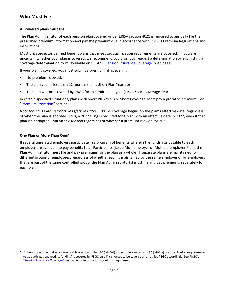# <span id="page-4-0"></span>**All covered plans must file**

The Plan Administrator of each pension plan covered under ERISA section 4021 is required to annually file the prescribed premium information and pay the premium due in accordance with PBGC's Premium Regulations and instructions.

Most private-sector defined benefit plans that meet tax qualification requirements are covered.<sup>[1](#page-4-1)</sup> If you are uncertain whether your plan is covered, we recommend you promptly request a determination by submitting a coverage determination form, available on PBGC's ["Pension Insurance Coverage"](https://www.pbgc.gov/prac/other-guidance/insurance-coverage) web page.

If your plan is covered, you must submit a premium filing even if:

- No premium is owed;
- The plan year is less than 12 months (i.e., a Short Plan Year); or
- The plan was not covered by PBGC for the entire plan year (i.e., a Short Coverage Year).

In certain specified situations, plans with Short Plan Years or Short Coverage Years pay a prorated premium. See ["Premium Proration"](#page-23-0) section.

*Note for Plans with Retroactive Effective Dates* — PBGC coverage begins on the plan's effective date, regardless of when the plan is adopted. Thus, a 2022 filing is required for a plan with an effective date in 2022, even if that plan isn't adopted until after 2022 and regardless of whether a premium is owed for 2022.

# **One Plan or More Than One?**

If several unrelated employers participate in a program of benefits wherein the funds attributable to each employer are available to pay benefits to all Participants (i.e., a Multiemployer or Multiple-employer Plan), the Plan Administrator must file and pay premiums for the plan as a whole. If separate plans are maintained for different groups of employees, regardless of whether each is maintained by the same employer or by employers that are part of the same controlled group, the Plan Administrator(s) must file and pay premiums separately for each plan.

<span id="page-4-1"></span><sup>1</sup> A church plan that makes an irrevocable election under IRC § 410(d) to be subject to certain IRC § 401(a) tax qualification requirements (e.g., participation, vesting, funding) is covered by PBGC only if it chooses to be covered and notifies PBGC accordingly. See PBGC's ["Pension Insurance Coverage"](https://www.pbgc.gov/prac/other-guidance/insurance-coverage) web page for information about this requirement.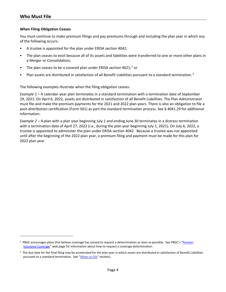#### **When Filing Obligation Ceases**

You must continue to make premium filings and pay premiums through and including the plan year in which any of the following occurs:

- A trustee is appointed for the plan under ERISA section 4042;
- The plan ceases to exist because all of its assets and liabilities were transferred to one or more other plans in a Merger or Consolidation;
- The plan ceases to be a covered plan under ERISA section 40[2](#page-5-0)1;<sup>2</sup> or
- Plan assets are distributed in satisfaction of all Benefit Liabilities pursuant to a standard termination.<sup>[3](#page-5-1)</sup>

The following examples illustrate when the filing obligation ceases:

*Example 1* – A calendar-year plan terminates in a standard termination with a termination date of September 29, 2021. On April 6, 2022, assets are distributed in satisfaction of all Benefit Liabilities. The Plan Administrator must file and make the premium payments for the 2021 and 2022 plan years. There is also an obligation to file a post-distribution certification (Form 501) as part the standard termination process. See § 4041.29 for additional information.

*Example 2* – A plan with a plan year beginning July 1 and ending June 30 terminates in a distress termination with a termination date of April 27, 2022 (i.e., during the plan year beginning July 1, 2021). On July 6, 2022, a trustee is appointed to administer the plan under ERISA section 4042. Because a trustee was not appointed until after the beginning of the 2022 plan year, a premium filing and payment must be made for this plan for 2022 plan year.

<span id="page-5-0"></span><sup>&</sup>lt;sup>2</sup> PBGC encourages plans that believe coverage has ceased to request a determination as soon as possible. See PBGC's "Pension [Insurance Coverage"](https://www.pbgc.gov/prac/other-guidance/insurance-coverage) web page for information about how to request a coverage determination.

<span id="page-5-1"></span><sup>&</sup>lt;sup>3</sup> The due date for the final filing may be accelerated for the plan year in which assets are distributed in satisfaction of Benefit Liabilities pursuant to a standard termination. See ["When to File"](#page-6-0) section).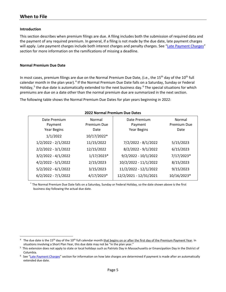# **When to File**

#### <span id="page-6-0"></span>**Introduction**

This section describes when premium filings are due. A filing includes both the submission of required data and the payment of any required premium. In general, if a filing is not made by the due date, late payment charges will apply. Late payment charges include both interest charges and penalty charges. See ["Late Payment Charges"](#page-51-0) section for more information on the ramifications of missing a deadline.

#### **Normal Premium Due Date**

In most cases, premium filings are due on the Normal Premium Due Date, (i.e., the 15<sup>th</sup> day of the 10<sup>th</sup> full calendar month in the plan year).<sup>[4](#page-6-1)</sup> If the Normal Premium Due Date falls on a Saturday, Sunday or Federal Holiday,<sup>[5](#page-6-2)</sup> the due date is automatically extended to the next business day.<sup>[6](#page-6-3)</sup> The special situations for which premiums are due on a date other than the normal premium due are summarized in the next section.

The following table shows the Normal Premium Due Dates for plan years beginning in 2022:

| ZUZZ NORMAL Premium Due Dates          |                               |                                               |                               |  |
|----------------------------------------|-------------------------------|-----------------------------------------------|-------------------------------|--|
| Date Premium<br>Payment<br>Year Begins | Normal<br>Premium Due<br>Date | Date Premium<br>Payment<br><b>Year Begins</b> | Normal<br>Premium Due<br>Date |  |
| 1/1/2022                               | 10/17/2022*                   |                                               |                               |  |
| 1/2/2022 - 2/1/2022                    | 11/15/2022                    | 7/2/2022 - 8/1/2022                           | 5/15/2023                     |  |
| $2/2/2022 - 3/1/2022$                  | 12/15/2022                    | 8/2/2022 - 9/1/2022                           | 6/15/2023                     |  |
| $3/2/2022 - 4/1/2022$                  | $1/17/2023*$                  | $9/2/2022 - 10/1/2022$                        | 7/17/2023*                    |  |
| $4/2/2022 - 5/1/2022$                  | 2/15/2023                     | 10/2/2022 - 11/1/2022                         | 8/15/2023                     |  |
| $5/2/2022 - 6/1/2022$                  | 3/15/2023                     | 11/2/2022 - 12/1/2022                         | 9/15/2023                     |  |
| $6/2/2022 - 7/1/2022$                  | 4/17/2023*                    | 12/2/2021 - 12/31/2021                        | 10/16/2023*                   |  |
|                                        |                               |                                               |                               |  |

#### **2022 Normal Premium Due Dates**

\* The Normal Premium Due Date falls on a Saturday, Sunday or Federal Holiday, so the date shown above is the first business day following the actual due date.

<span id="page-6-1"></span> $4$  The due date is the 15<sup>th</sup> day of the 10<sup>th</sup> full calendar month that begins on or after the first day of the Premium Payment Year. In situations involving a Short Plan Year, this due date may not be "in the plan year."

<span id="page-6-2"></span><sup>&</sup>lt;sup>5</sup> This extension does not apply to state or local holidays such as Patriots Day in Massachusetts or Emancipation Day in the District of Columbia.

<span id="page-6-3"></span><sup>&</sup>lt;sup>6</sup> See ["Late Payment Charges"](#page-51-0) section for information on how late charges are determined if payment is made after an automatically extended due date.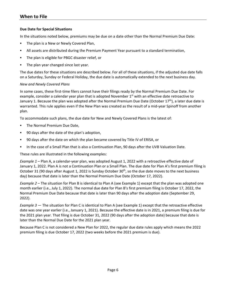# **Due Date for Special Situations**

In the situations noted below, premiums may be due on a date other than the Normal Premium Due Date:

- **The plan is a New or Newly Covered Plan,**
- All assets are distributed during the Premium Payment Year pursuant to a standard termination,
- The plan is eligible for PBGC disaster relief, or
- The plan year changed since last year.

The due dates for these situations are described below. For all of these situations, if the adjusted due date falls on a Saturday, Sunday or Federal Holiday, the due date is automatically extended to the next business day.

#### *New and Newly Covered Plans*

In some cases, these first-time filers cannot have their filings ready by the Normal Premium Due Date. For example, consider a calendar year plan that is adopted November  $1<sup>st</sup>$  with an effective date retroactive to January 1. Because the plan was adopted after the Normal Premium Due Date (October 17<sup>th</sup>), a later due date is warranted. This rule applies even if the New Plan was created as the result of a mid-year Spinoff from another plan.

To accommodate such plans, the due date for New and Newly Covered Plans is the latest of:

- The Normal Premium Due Date,
- 90 days after the date of the plan's adoption,
- 90 days after the date on which the plan became covered by Title IV of ERISA, or
- In the case of a Small Plan that is also a Continuation Plan, 90 days after the UVB Valuation Date.

These rules are illustrated in the following examples:

*Example 1* – Plan A, a calendar-year plan, was adopted August 1, 2022 with a retroactive effective date of January 1, 2022. Plan A is not a Continuation Plan or a Small Plan. The due date for Plan A's first premium filing is October 31 (90 days after August 1, 2022 is Sunday October 30<sup>th</sup>, so the due date moves to the next business day) because that date is later than the Normal Premium Due Date (October 17, 2022).

*Example 2* – The situation for Plan B is identical to Plan A (see Example 1) except that the plan was adopted one month earlier (i.e., July 1, 2022). The normal due date for Plan B's first premium filing is October 17, 2022, the Normal Premium Due Date because that date is later than 90 days after the adoption date (September 29, 2022).

*Example 3* — The situation for Plan C is identical to Plan A (see Example 1) except that the retroactive effective date was one year earlier (i.e., January 1, 2021). Because the effective date is in 2021, a premium filing is due for the 2021 plan year. That filing is due October 31, 2022 (90 days after the adoption date) because that date is later than the Normal Due Date for the 2021 plan year.

Because Plan C is not considered a New Plan for 2022, the regular due date rules apply which means the 2022 premium filing is due October 17, 2022 (two weeks before the 2021 premium is due).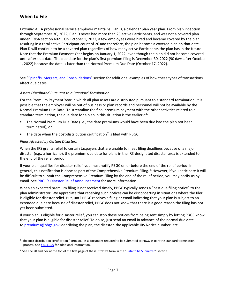*Example 4* – A professional service employer maintains Plan D, a calendar plan year plan. From plan inception through September 30, 2022, Plan D never had more than 25 active Participants, and was not a covered plan under ERISA section 4021. On October 1, 2022, a few employees were hired and became covered by the plan resulting in a total active Participant count of 26 and therefore, the plan became a covered plan on that date. Plan D will continue to be a covered plan regardless of how many active Participants the plan has in the future. Note that the Premium Payment Year begins on January 1, 2022, even though the plan did not become covered until after that date. The due date for the plan's first premium filing is December 30, 2022 (90 days after October 1, 2022) because the date is later than the Normal Premium Due Date (October 17, 2022).

See ["Spinoffs, Mergers, and Consolidations"](#page-26-0) section for additional examples of how these types of transactions affect due dates.

# <span id="page-8-2"></span>*Assets Distributed Pursuant to a Standard Termination*

For the Premium Payment Year in which all plan assets are distributed pursuant to a standard termination, it is possible that the employer will be out of business or plan records and personnel will not be available by the Normal Premium Due Date. To streamline the final premium payment with the other activities related to a standard termination, the due date for a plan in this situation is the earlier of:

- The Normal Premium Due Date (i.e., the date premiums would have been due had the plan not been terminated), or
- The date when the post-distribution certification<sup>[7](#page-8-0)</sup> is filed with PBGC.

# *Plans Affected by Certain Disasters*

When the IRS grants relief to certain taxpayers that are unable to meet filing deadlines because of a major disaster (e.g., a hurricane), the premium due date for plans in the IRS-designated disaster area is extended to the end of the relief period.

If your plan qualifies for disaster relief, you must notify PBGC on or before the end of the relief period. In general, this notification is done as part of the Comprehensive Premium Filing. <sup>[8](#page-8-1).</sup> However, if you anticipate it will be difficult to submit the Comprehensive Premium Filing by the end of the relief period, you may notify us by email. See [PBGC's Disaster Relief Announcement](https://www.pbgc.gov/prac/other-guidance/Disaster-Relief) for more information.

When an expected premium filing is not received timely, PBGC typically sends a "past due filing notice" to the plan administrator. We appreciate that receiving such notices can be disconcerting in situations where the filer is eligible for disaster relief. But, until PBGC receives a filing or email indicating that your plan is subject to an extended due date because of disaster relief, PBGC does not know that there is a good reason the filing has not yet been submitted.

If your plan is eligible for disaster relief, you can stop these notices from being sent simply by letting PBGC know that your plan is eligible for disaster relief. To do so, just send an email in advance of the normal due date to [premiums@pbgc.gov](mailto:pbgc_premiums@custhelp.com) identifying the plan, the disaster, the applicable IRS Notice number, etc.

<span id="page-8-0"></span> $7$  The post-distribution certification (Form 501) is a document required to be submitted to PBGC as part the standard termination process. See  $\frac{6}{9}$  [4041.29](https://www.ecfr.gov/cgi-bin/text-idx?SID=8b1672e66ebc9e29ea48f126f8b7cc8b&mc=true&node=pt29.9.4041&rgn=div5#se29.9.4041_129) for additional information.

<span id="page-8-1"></span><sup>&</sup>lt;sup>8</sup> See line 20 and box at the top of the first page of the illustrative form in the ["Data to be Submitted"](#page-32-0) section.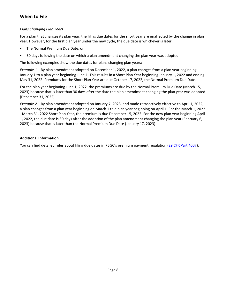# *Plans Changing Plan Years*

For a plan that changes its plan year, the filing due dates for the short year are unaffected by the change in plan year. However, for the first plan year under the new cycle, the due date is whichever is later:

- The Normal Premium Due Date, or
- 30 days following the date on which a plan amendment changing the plan year was adopted.

The following examples show the due dates for plans changing plan years:

*Example 1* – By plan amendment adopted on December 1, 2022, a plan changes from a plan year beginning January 1 to a plan year beginning June 1. This results in a Short Plan Year beginning January 1, 2022 and ending May 31, 2022. Premiums for the Short Plan Year are due October 17, 2022, the Normal Premium Due Date.

For the plan year beginning June 1, 2022, the premiums are due by the Normal Premium Due Date (March 15, 2023) because that is later than 30 days after the date the plan amendment changing the plan year was adopted (December 31, 2022).

*Example 2* – By plan amendment adopted on January 7, 2023, and made retroactively effective to April 1, 2022, a plan changes from a plan year beginning on March 1 to a plan year beginning on April 1. For the March 1, 2022 - March 31, 2022 Short Plan Year, the premium is due December 15, 2022. For the new plan year beginning April 1, 2022, the due date is 30 days after the adoption of the plan amendment changing the plan year (February 6, 2023) because that is later than the Normal Premium Due Date (January 17, 2023).

# **Additional Information**

You can find detailed rules about filing due dates in PBGC's premium payment regulation [\(29 CFR Part 4007\)](https://www.ecfr.gov/cgi-bin/text-idx?SID=ee7473b44aebe60279b0eeab580163f9&mc=true&node=pt29.9.4007&rgn=div5).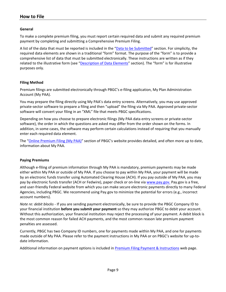# <span id="page-10-0"></span>**General**

To make a complete premium filing, you must report certain required data and submit any required premium payment by completing and submitting a Comprehensive Premium Filing.

A list of the data that must be reported is included in the ["Data to be Submitted"](#page-32-0) section. For simplicity, the required data elements are shown in a traditional "form" format. The purpose of the "form" is to provide a comprehensive list of data that must be submitted electronically. These instructions are written as if they related to the illustrative form (see ["Description of Data Elements"](#page-37-0) section). The "form" is for illustrative purposes only.

# **Filing Method**

Premium filings are submitted electronically through PBGC's e-filing application, My Plan Administration Account (My PAA).

You may prepare the filing directly using My PAA's data entry screens. Alternatively, you may use approved private-sector software to prepare a filing and then "upload" the filing via My PAA. Approved private-sector software will convert your filing in an "XML" file that meets PBGC specifications.

Depending on how you choose to prepare electronic filings (My PAA data entry screens or private-sector software), the order in which the questions are asked may differ from the order shown on the forms. In addition, in some cases, the software may perform certain calculations instead of requiring that you manually enter each required data element.

The ["Online Premium Filing \(My PAA\)"](https://www.pbgc.gov/prac/prem/online-premium-filing-with-my-paa) section of PBGC's website provides detailed, and often more up to date, information about My PAA.

#### **Paying Premiums**

Although e-filing of premium information through My PAA is mandatory, premium payments may be made either within My PAA or outside of My PAA. If you choose to pay within My PAA, your payment will be made by an electronic funds transfer using Automated Clearing House (ACH). If you pay outside of My PAA, you may pay by electronic funds transfer (ACH or Fedwire), paper check or on-line via [www.pay.gov.](http://www.pay.gov/) Pay.gov is a free, and user-friendly Federal website from which you can make secure electronic payments directly to many Federal Agencies, including PBGC. We recommend using Pay.gov to minimize the potential for errors (e.g., incorrect account numbers).

*Note re: debit blocks* - If you are sending payment electronically, be sure to provide the PBGC Company ID to your financial institution **before you submit your payment** so they may authorize PBGC to debit your account. Without this authorization, your financial institution may reject the processing of your payment. A debit block is the most common reason for failed ACH payments, and the most common reason late premium payment penalties are assessed.

Currently, PBGC has two Company ID numbers, one for payments made within My PAA, and one for payments made outside of My PAA. Please refer to the payment instructions in My PAA or on PBGC's website for up-todate information.

Additional information on payment options is included in [Premium Filing Payment & Instructions](https://www.pbgc.gov/prac/prem/premium-filing-payment-and-instructions) web page.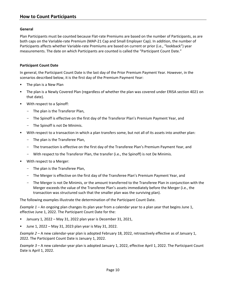# <span id="page-11-0"></span>**General**

Plan Participants must be counted because Flat-rate Premiums are based on the number of Participants, as are both caps on the Variable-rate Premium (MAP-21 Cap and Small Employer Cap). In addition, the number of Participants affects whether Variable-rate Premiums are based on current or prior (i.e., "lookback") year measurements. The date on which Participants are counted is called the "Participant Count Date."

# **Participant Count Date**

In general, the Participant Count Date is the last day of the Prior Premium Payment Year. However, in the scenarios described below, it is the first day of the Premium Payment Year:

- The plan is a New Plan
- The plan is a Newly Covered Plan (regardless of whether the plan was covered under ERISA section 4021 on that date).
- With respect to a Spinoff:
	- The plan is the Transferor Plan,
	- The Spinoff is effective on the first day of the Transferor Plan's Premium Payment Year, and
	- The Spinoff is not De Minimis.
- With respect to a transaction in which a plan transfers some, but not all of its assets into another plan:
	- The plan is the Transferee Plan,
	- The transaction is effective on the first day of the Transferee Plan's Premium Payment Year, and
	- With respect to the Transferor Plan, the transfer (i.e., the Spinoff) is not De Minimis.
- With respect to a Merger:
	- The plan is the Transferee Plan,
	- The Merger is effective on the first day of the Transferee Plan's Premium Payment Year, and
	- The Merger is not De Minimis, or the amount transferred to the Transferee Plan in conjunction with the Merger exceeds the value of the Transferee Plan's assets immediately before the Merger (i.e., the transaction was structured such that the smaller plan was the surviving plan).

The following examples illustrate the determination of the Participant Count Date.

*Example 1* – An ongoing plan changes its plan year from a calendar year to a plan year that begins June 1, effective June 1, 2022. The Participant Count Date for the:

- January 1, 2022 May 31, 2022 plan year is December 31, 2021,
- June 1, 2022 May 31, 2023 plan year is May 31, 2022.

*Example 2* – A new calendar-year plan is adopted February 18, 2022, retroactively effective as of January 1, 2022. The Participant Count Date is January 1, 2022.

*Example 3* – A new calendar-year plan is adopted January 1, 2022, effective April 1, 2022. The Participant Count Date is April 1, 2022.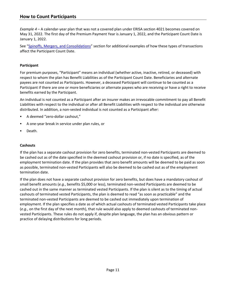# **How to Count Participants**

*Example 4* – A calendar-year plan that was not a covered plan under ERISA section 4021 becomes covered on May 31, 2022. The first day of the Premium Payment Year is January 1, 2022, and the Participant Count Date is January 1, 2022.

See ["Spinoffs, Mergers, and Consolidations"](#page-26-0) section for additional examples of how these types of transactions affect the Participant Count Date.

# **Participant**

For premium purposes, "Participant" means an individual (whether active, inactive, retired, or deceased) with respect to whom the plan has Benefit Liabilities as of the Participant Count Date. Beneficiaries and alternate payees are not counted as Participants. However, a deceased Participant will continue to be counted as a Participant if there are one or more beneficiaries or alternate payees who are receiving or have a right to receive benefits earned by the Participant.

An individual is not counted as a Participant after an insurer makes an irrevocable commitment to pay all Benefit Liabilities with respect to the individual or after all Benefit Liabilities with respect to the individual are otherwise distributed. In addition, a non-vested individual is not counted as a Participant after:

- A deemed "zero-dollar cashout,"
- A one-year break in service under plan rules, or
- **Death.**

# **Cashouts**

If the plan has a separate cashout provision for zero benefits, terminated non-vested Participants are deemed to be cashed out as of the date specified in the deemed cashout provision or, if no date is specified, as of the employment termination date. If the plan provides that zero benefit amounts will be deemed to be paid as soon as possible, terminated non-vested Participants will also be deemed to be cashed out as of the employment termination date.

If the plan does not have a separate cashout provision for zero benefits, but does have a mandatory cashout of small benefit amounts (*e.g.*, benefits \$5,000 or less), terminated non-vested Participants are deemed to be cashed out in the same manner as terminated vested Participants. If the plan is silent as to the timing of actual cashouts of terminated vested Participants, the plan is deemed to read "as soon as practicable" and the terminated non-vested Participants are deemed to be cashed out immediately upon termination of employment. If the plan specifies a date as of which actual cashouts of terminated vested Participants take place (*e.g.*, on the first day of the next month), that rule would also apply to deemed cashouts of terminated nonvested Participants. These rules do not apply if, despite plan language, the plan has an obvious pattern or practice of delaying distributions for long periods.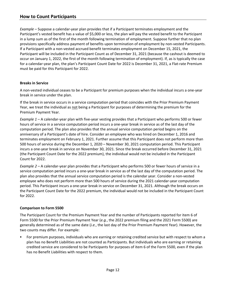*Example* – Suppose a calendar-year plan provides that if a Participant terminates employment and the Participant's vested benefit has a value of \$5,000 or less, the plan will pay the vested benefit to the Participant in a lump sum as of the first of the month following termination of employment. Suppose further that no plan provisions specifically address payment of benefits upon termination of employment by non-vested Participants. If a Participant with a non-vested accrued benefit terminates employment on December 15, 2021, the Participant will be included in the Participant Count as of December 31, 2021 (because the cashout is deemed to occur on January 1, 2022, the first of the month following termination of employment). If, as is typically the case for a calendar-year plan, the plan's Participant Count Date for 2022 is December 31, 2021, a Flat-rate Premium must be paid for this Participant for 2022.

# **Breaks in Service**

A non-vested individual ceases to be a Participant for premium purposes when the individual incurs a one-year break in service under the plan.

If the break in service occurs in a service computation period that coincides with the Prior Premium Payment Year, we treat the individual as not being a Participant for purposes of determining the premium for the Premium Payment Year.

*Example 1* – A calendar-year plan with five-year vesting provides that a Participant who performs 500 or fewer hours of service in a service computation period incurs a one-year break in service as of the last day of the computation period. The plan also provides that the annual service computation period begins on the anniversary of a Participant's date of hire. Consider an employee who was hired on December 1, 2016 and terminates employment on February 1, 2021. Further assume that this Participant does not perform more than 500 hours of service during the December 1, 2020 – November 30, 2021 computation period. This Participant incurs a one-year break in service on November 30, 2021. Since the break occurred before December 31, 2021 (the Participant Count Date for the 2022 premium), the individual would not be included in the Participant Count for 2022.

*Example 2* – A calendar-year plan provides that a Participant who performs 500 or fewer hours of service in a service computation period incurs a one-year break in service as of the last day of the computation period. The plan also provides that the annual service computation period is the calendar year. Consider a non-vested employee who does not perform more than 500 hours of service during the 2021 calendar-year computation period. This Participant incurs a one-year break in service on December 31, 2021. Although the break occurs on the Participant Count Date for the 2022 premium, the individual would not be included in the Participant Count for 2022.

# **Comparison to Form 5500**

The Participant Count for the Premium Payment Year and the number of Participants reported for item 6 of Form 5500 for the Prior Premium Payment Year (*e.g.*, the 2022 premium filing and the 2021 Form 5500) are generally determined as of the same date (*i.e.*, the last day of the Prior Premium Payment Year). However, the two counts may differ. For example:

 For premium purposes, individuals who are earning or retaining credited service but with respect to whom a plan has no Benefit Liabilities are not counted as Participants. But individuals who are earning or retaining credited service are considered to be Participants for purposes of item 6 of the Form 5500, even if the plan has no Benefit Liabilities with respect to them.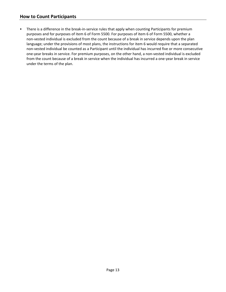# **How to Count Participants**

**There is a difference in the break-in-service rules that apply when counting Participants for premium** purposes and for purposes of item 6 of Form 5500. For purposes of item 6 of Form 5500, whether a non-vested individual is excluded from the count because of a break in service depends upon the plan language; under the provisions of most plans, the instructions for item 6 would require that a separated non-vested individual be counted as a Participant until the individual has incurred five or more consecutive one-year breaks in service. For premium purposes, on the other hand, a non-vested individual is excluded from the count because of a break in service when the individual has incurred a one-year break in service under the terms of the plan.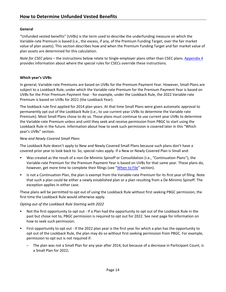# <span id="page-15-0"></span>**General**

"Unfunded vested benefits" (UVBs) is the term used to describe the underfunding measure on which the Variable-rate Premium is based (i.e., the excess, if any, of the Premium Funding Target, over the fair market value of plan assets). This section describes how and when the Premium Funding Target and fair market value of plan assets are determined for this calculation.

*Note for CSEC plans* – the instructions below relate to Single-employer plans other than CSEC plans. [Appendi](#page-66-0)x 4 provides information about where the special rules for CSECs override these instructions.

# **Which year's UVBs**

In general, Variable-rate Premiums are based on UVBs for the Premium Payment Year. However, Small Plans are subject to a Lookback Rule, under which the Variable-rate Premium for the Premium Payment Year is based on UVBs for the Prior Premium Payment Year - for example, under the Lookback Rule, the 2022 Variable-rate Premium is based on UVBs for 2021 (the Lookback Year).

The lookback rule first applied for 2014 plan years. At that time Small Plans were given automatic approval to permanently opt out of the Lookback Rule (i.e., to use current year UVBs to determine the Variable rate Premium). Most Small Plans chose to do so. Those plans must continue to use current year UVBs to determine the Variable-rate Premium unless and until they seek and receive permission from PBGC to start using the Lookback Rule in the future. Information about how to seek such permission is covered later in this "Which year's UVBs" section.

# *New and Newly Covered Small Plans*

The Lookback Rule doesn't apply to New and Newly Covered Small Plans because such plans don't have a covered prior year to look back to. So, special rules apply. If a New or Newly Covered Plan is Small and:

- Was created as the result of a non-De Minimis Spinoff or Consolidation (i.e., "Continuation Plans"), the Variable-rate Premium for the Premium Payment Year is based on UVBs for that same year. These plans do, however, get more time to complete their filings (see ["When to File"](#page-6-0) section).
- Is not a Continuation Plan, the plan is exempt from the Variable-rate Premium for its first year of filing. Note that such a plan could be either a newly established plan or a plan resulting from a De Minimis Spinoff. The exception applies in either case.

These plans will be permitted to opt out of using the Lookback Rule without first seeking PBGC permission, the first time the Lookback Rule would otherwise apply.

# *Opting out of the Lookback Rule Starting with 2022*

- Not the first opportunity to opt out If a Plan had the opportunity to opt out of the Lookback Rule in the past but chose not to, PBGC permission is required to opt out for 2022. See next page for information on how to seek such permission.
- First opportunity to opt out If the 2022 plan year is the first year for which a plan has the opportunity to opt out of the Lookback Rule, the plan may do so without first seeking permission from PBGC. For example, permission to opt out is not required if:
	- The plan was not a Small Plan for any year after 2014, but because of a decrease in Participant Count, is a Small Plan for 2022;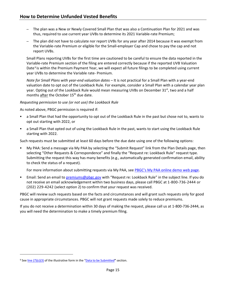- The plan was a New or Newly Covered Small Plan that was also a Continuation Plan for 2021 and was thus, required to use current year UVBs to determine its 2021 Variable-rate Premium;
- The plan did not have to calculate nor report UVBs for any year after 2014 because it was exempt from the Variable-rate Premium or eligible for the Small-employer Cap and chose to pay the cap and not report UVBs.

Small Plans reporting UVBs for the first time are cautioned to be careful to ensure the data reported in the Variable-rate Premium section of the filing are entered correctly because if the reported UVB Valuation Date<sup>[9](#page-16-0)</sup> is within the Premium Payment Year, we will expect all future filings to be completed using current year UVBs to determine the Variable rate- Premium.

*Note for Small Plans with year-end valuation dates* – It is not practical for a Small Plan with a year-end valuation date to opt out of the Lookback Rule. For example, consider a Small Plan with a calendar year plan year. Opting out of the Lookback Rule would mean measuring UVBs on December  $31^{st}$ , two and a half months after the October 15<sup>th</sup> due date.

# *Requesting permission to use (or not use) the Lookback Rule*

As noted above, PBGC permission is required if:

- a Small Plan that had the opportunity to opt out of the Lookback Rule in the past but chose not to, wants to opt out starting with 2022, or
- a Small Plan that opted out of using the Lookback Rule in the past, wants to start using the Lookback Rule starting with 2022.

Such requests must be submitted at least 60 days before the due date using one of the following options:

 My PAA: Send a message via My PAA by selecting the "Submit Request" link from the Plan Details page, then selecting "Other Requests & Correspondence" and finally the "Request re: Lookback Rule" request type. Submitting the request this way has many benefits (e.g., automatically generated confirmation email, ability to check the status of a request).

For more information about submitting requests via My PAA, see [PBGC's My PAA online demo web page.](https://www.pbgc.gov/prac/prem/online-premium-filing-with-my-paa/my-paa-online-demonstrations)

 Email: Send an email to [premiums@pbgc.gov](mailto:pbgc_premiums@custhelp.com) with "Request re: Lookback Rule" in the subject line. If you do not receive an email acknowledgement within two business days, please call PBGC at 1-800-736-2444 or (202) 229-4242 (select option 2) to confirm that your request was received.

PBGC will review such requests based on the facts and circumstances and will grant such requests only for good cause in appropriate circumstances. PBGC will not grant requests made solely to reduce premiums.

If you do not receive a determination within 30 days of making the request, please call us at 1-800-736-2444, as you will need the determination to make a timely premium filing.

<span id="page-16-0"></span><sup>&</sup>lt;sup>9</sup> See line (7)(c)(3) of the illustrative form in the ["Data to be Submitted](#page-32-0)" section.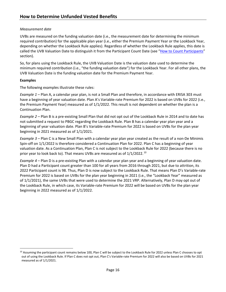# *Measurement date*

UVBs are measured on the funding valuation date (i.e., the measurement date for determining the minimum required contribution) for the applicable plan year (i.e., either the Premium Payment Year or the Lookback Year, depending on whether the Lookback Rule applies). Regardless of whether the Lookback Rule applies, this date is called the UVB Valuation Date to distinguish it from the Participant Count Date (see ["How to Count Participants"](#page-11-0) section).

So, for plans using the Lookback Rule, the UVB Valuation Date is the valuation date used to determine the minimum required contribution (i.e., "the funding valuation date") for the Lookback Year. For all other plans, the UVB Valuation Date is the funding valuation date for the Premium Payment Year.

# **Examples**

The following examples illustrate these rules:

*Example 1 –* Plan A, a calendar year plan, is not a Small Plan and therefore, in accordance with ERISA 303 must have a beginning of year valuation date. Plan A's Variable-rate Premium for 2022 is based on UVBs for 2022 (i.e., the Premium Payment Year) measured as of 1/1/2022. This result is not dependent on whether the plan is a Continuation Plan.

*Example 2 –* Plan B is a pre-existing Small Plan that did not opt out of the Lookback Rule in 2014 and to date has not submitted a request to PBGC regarding the Lookback Rule. Plan B has a calendar year plan year and a beginning of year valuation date. Plan B's Variable-rate Premium for 2022 is based on UVBs for the plan year beginning in 2021 measured as of 1/1/2021.

*Example 3 –* Plan C is a New Small Plan with a calendar year plan year created as the result of a non-De Minimis Spin-off on 1/1/2022 is therefore considered a Continuation Plan for 2022. Plan C has a beginning of year valuation date. As a Continuation Plan, Plan C is not subject to the Lookback Rule for 2022 (because there is no prior year to look back to). That means UVBs are measured as of 1/1/2022.<sup>[10](#page-17-0)</sup>

*Example 4 –* Plan D is a pre-existing Plan with a calendar year plan year and a beginning of year valuation date. Plan D had a Participant count greater than 100 for all years from 2016 through 2021, but due to attrition, its 2022 Participant count is 98. Thus, Plan D is now subject to the Lookback Rule. That means Plan D's Variable-rate Premium for 2022 is based on UVBs for the plan year beginning in 2021 (i.e., the "Lookback Year" measured as of 1/1/2021), the same UVBs that were used to determine the 2021 VRP. Alternatively, Plan D may opt out of the Lookback Rule, in which case, its Variable-rate Premium for 2022 will be based on UVBs for the plan year beginning in 2022 measured as of 1/1/2022.

<span id="page-17-0"></span><sup>&</sup>lt;sup>10</sup> Assuming the participant count remains below 100, Plan C will be subject to the Lookback Rule for 2022 unless Plan C chooses to opt out of using the Lookback Rule. If Plan C does not opt out, Plan C's Variable-rate Premium for 2022 will also be based on UVBs for 2021 measured as of 1/1/2021.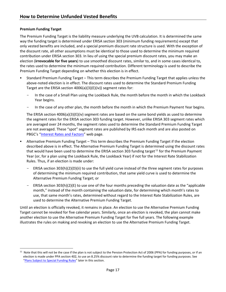# **Premium Funding Target**

The Premium Funding Target is the liability measure underlying the UVB calculation. It is determined the same way the funding target is determined under ERISA section 303 (minimum funding requirements) except that only vested benefits are included, and a special premium discount rate structure is used. With the exception of the discount rate, all other assumptions must be identical to those used to determine the minimum required contribution under ERISA section 303. In lieu of using the special premium discount rates, you may make an election (**irrevocable for five years**) to use smoothed discount rates, similar to, and in some cases identical to, the rates used to determine the minimum required contribution. Different terminology is used to describe the Premium Funding Target depending on whether this election is in effect.

- Standard Premium Funding Target This term describes the Premium Funding Target that applies unless the above-noted election is in effect. The discount rates used to determine the Standard Premium Funding Target are the ERISA section 4006(a)(3)(E)(iv)) segment rates for:
	- In the case of a Small Plan using the Lookback Rule, the month before the month in which the Lookback Year begins.
	- In the case of any other plan, the month before the month in which the Premium Payment Year begins.

The ERISA section 4006(a)(3)(E)(iv) segment rates are based on the same bond yields as used to determine the segment rates for the ERISA section 303 funding target. However, unlike ERISA 303 segment rates which are averaged over 24 months, the segment rates used to determine the Standard Premium Funding Target are not averaged. These "spot" segment rates are published by IRS each month and are also posted on PBGC's ["Interest Rates and Factors"](https://www.pbgc.gov/prac/interest) web page.

- Alternative Premium Funding Target This term describes the Premium Funding Target if the election described above is in effect. The Alternative Premium Funding Target is determined using the discount rates that would have been used to determine the ERISA section 303 funding target<sup>[11](#page-18-0)</sup> for the Premium Payment Year (or, for a plan using the Lookback Rule, the Lookback Year) if not for the Interest Rate Stabilization Rules. Thus, if an election is made under:
	- ERISA section 303(h)(2)(D)(ii) to use the full yield curve instead of the three segment rates for purposes of determining the minimum required contribution, that same yield curve is used to determine the Alternative Premium Funding Target; or
	- ERISA section  $303(h)(2)(E)$  to use one of the four months preceding the valuation date as the "applicable" month," instead of the month containing the valuation date, for determining which month's rates to use, that same month's rates, determined without regard to the Interest Rate Stabilization Rules, are used to determine the Alternative Premium Funding Target.

Until an election is officially revoked, it remains in place. An election to use the Alternative Premium Funding Target cannot be revoked for five calendar years. Similarly, once an election is revoked, the plan cannot make another election to use the Alternative Premium Funding Target for five full years. The following example illustrates the rules on making and revoking an election to use the Alternative Premium Funding Target.

<span id="page-18-0"></span><sup>&</sup>lt;sup>11</sup> Note that this will not be the case if the plan is not subject to the Pension Protection Act of 2006 (PPA) for funding purposes, or if an election is made under PPA section 402, to use an 8.25% discount rate to determine the funding target for funding purposes. See ["Plans Subject to Special Funding Rules"](#page-22-0) later in this section.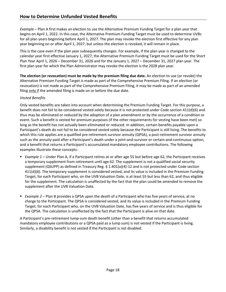*Example –* Plan A first makes an election to use the Alternative Premium Funding Target for a plan year that begins on April 1, 2022. In this case, the Alternative Premium Funding Target must be used to determine UVBs for all plan years beginning before April 1, 2027. The plan may revoke the election first effective for any plan year beginning on or after April 1, 2027, but unless the election is revoked, it will remain in place.

This is the case even if the plan year subsequently changes. For example, if the plan year is changed to the calendar year first effective January 1, 2027, the Alternative Premium Funding Target must be used for the Short Plan Year April 1, 2026 – December 31, 2026 and for the January 1, 2027 – December 31, 2027 plan year. The first plan year for which the Plan Administrator may revoke the election is the 2028 plan year.

**The election (or revocation) must be made by the premium filing due date.** An election to use (or revoke) the Alternative Premium Funding Target is made as part of the Comprehensive Premium Filing. If an election (or revocation) is not made as part of the Comprehensive Premium Filing, it may be made as part of an amended filing only if the amended filing is made on or before the due date.

# *Vested Benefits*

Only vested benefits are taken into account when determining the Premium Funding Target. For this purpose, a benefit does not fail to be considered vested solely because it is not protected under Code section 411(d)(6) and thus may be eliminated or reduced by the adoption of a plan amendment or by the occurrence of a condition or event. Such a benefit is vested for premium purposes (if the other requirements for vesting have been met) so long as the benefit has not actually been eliminated or reduced. In addition, certain benefits payable upon a Participant's death do not fail to be considered vested solely because the Participant is still living. The benefits to which this rule applies are a qualified pre-retirement survivor annuity (QPSA), a post-retirement survivor annuity such as the annuity paid after a Participant's death under a joint-and-survivor or certain-and-continuous option, and a benefit that returns a Participant's accumulated mandatory employee contributions. The following examples illustrate these concepts:

- *Example 1* Under Plan A, if a Participant retires at or after age 55 but before age 62, the Participant receives a temporary supplement from retirement until age 62. The supplement is not a qualified social security supplement (QSUPP) as defined in Treasury Reg. § 1.401(a)(4)-12 and is not protected under Code section 411(d)(6). The temporary supplement is considered vested, and its value is included in the Premium Funding Target, for each Participant who, on the UVB Valuation Date, is at least 55 but less than 62, and thus eligible for the supplement. The calculation is unaffected by the fact that the plan could be amended to remove the supplement after the UVB Valuation Date.
- *Example 2* Plan B provides a QPSA upon the death of a Participant who has five years of service, at no charge to the Participant. The QPSA is considered vested, and its value is included in the Premium Funding Target, for each Participant who, on the UVB Valuation Date, has five years of service and is thus eligible for the QPSA. The calculation is unaffected by the fact that the Participant is alive on that date.

A Participant's pre-retirement lump-sum death benefit (other than a benefit that returns accumulated mandatory employee contributions or a QPSA paid as a lump sum) is not vested if the Participant is living. Similarly, a disability benefit is not vested if the Participant is not disabled.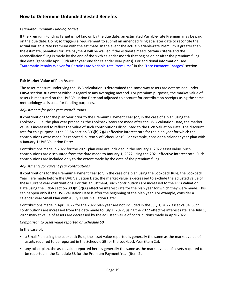# *Estimated Premium Funding Target*

If the Premium Funding Target is not known by the due date, an estimated Variable-rate Premium may be paid on the due date. Doing so triggers a requirement to submit an amended filing at a later date to reconcile the actual Variable rate Premium with the estimate. In the event the actual Variable-rate Premium is greater than the estimate, penalties for late payment will be waived if the estimate meets certain criteria and the reconciliation filing is made by the end of the sixth calendar month that begins on or after the premium filing due date (generally April 30th after year end for calendar year plans). For additional information, see ["Automatic Penalty Waiver for Certain Late Variable-rate Premiums"](#page-52-0) in the ["Late Pay](#page-51-0)ment Charges" section.

# **Fair Market Value of Plan Assets**

The asset measure underlying the UVB calculation is determined the same way assets are determined under ERISA section 303 except without regard to any averaging method. For premium purposes, the market value of assets is measured on the UVB Valuation Date and adjusted to account for contribution receipts using the same methodology as is used for funding purposes.

# *Adjustments for prior year contributions*

If contributions for the plan year prior to the Premium Payment Year (or, in the case of a plan using the Lookback Rule, the plan year preceding the Lookback Year) are made after the UVB Valuation Date, the market value is increased to reflect the value of such contributions discounted to the UVB Valuation Date. The discount rate for this purpose is the ERISA section 303(h)(2)(A) effective interest rate for the plan year for which the contributions were made (as reported in item 5 of Schedule SB). For example, consider a calendar year plan with a January 1 UVB Valuation Date:

Contributions made in 2022 for the 2021 plan year are included in the January 1, 2022 asset value. Such contributions are discounted from the date made to January 1, 2022 using the 2021 effective interest rate. Such contributions are included only to the extent made by the date of the premium filing.

# *Adjustments for current year contributions*

If contributions for the Premium Payment Year (or, in the case of a plan using the Lookback Rule, the Lookback Year), are made before the UVB Valuation Date, the market value is decreased to exclude the adjusted value of these current year contributions. For this adjustment, such contributions are increased to the UVB Valuation Date using the ERISA section 303(h)(2)(A) effective interest rate for the plan year for which they were made. This can happen only if the UVB Valuation Date is after the beginning of the plan year. For example, consider a calendar year Small Plan with a July 1 UVB Valuation Date:

Contributions made in April 2022 for the 2022 plan year are not included in the July 1, 2022 asset value. Such contributions are increased from the date made to July 1, 2022, using the 2022 effective interest rate. The July 1, 2022 market value of assets are decreased by the adjusted value of contributions made in April 2022.

# *Comparison to asset value reported on Schedule SB*

In the case of:

- a Small Plan using the Lookback Rule, the asset value reported is generally the same as the market value of assets required to be reported in the Schedule SB for the Lookback Year (item 2a).
- any other plan, the asset value reported here is generally the same as the market value of assets required to be reported in the Schedule SB for the Premium Payment Year (item 2a).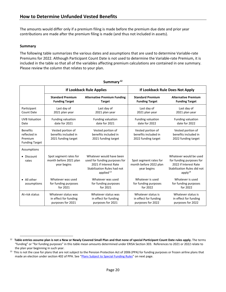The amounts would differ only if a premium filing is made before the premium due date and prior year contributions are made after the premium filing is made (and thus not included in assets).

# **Summary**

The following table summarizes the various dates and assumptions that are used to determine Variable-rate Premiums for 2022. Although Participant Count Date is not used to determine the Variable-rate Premium, it is included in the table so that all of the variables affecting premium calculations are contained in one summary. Please review the column that relates to your plan.

|                                                                     |                                                                   | If Lookback Rule Applies                                                                                                          | If Lookback Rule Does Not Apply                                  |                                                                                                                          |  |
|---------------------------------------------------------------------|-------------------------------------------------------------------|-----------------------------------------------------------------------------------------------------------------------------------|------------------------------------------------------------------|--------------------------------------------------------------------------------------------------------------------------|--|
|                                                                     | <b>Standard Premium</b><br><b>Funding Target</b>                  | <b>Alternative Premium Funding</b><br><b>Target</b>                                                                               | <b>Standard Premium</b><br><b>Funding Target</b>                 | <b>Alternative Premium</b><br><b>Funding Target</b>                                                                      |  |
| Participant<br><b>Count Date</b>                                    | Last day of<br>2021 plan year                                     | Last day of<br>2021 plan year                                                                                                     | Last day of<br>2021 plan year                                    | Last day of<br>2021 plan year                                                                                            |  |
| <b>UVB Valuation</b><br>Date                                        | <b>Funding valuation</b><br>date for 2021                         | <b>Funding valuation</b><br>date for 2021                                                                                         | <b>Funding valuation</b><br>date for 2022                        | <b>Funding valuation</b><br>date for 2022                                                                                |  |
| <b>Benefits</b><br>reflected in<br>Premium<br><b>Funding Target</b> | Vested portion of<br>benefits included in<br>2021 funding target  | Vested portion of<br>benefits included in<br>2021 funding target                                                                  | Vested portion of<br>benefits included in<br>2022 funding target | Vested portion of<br>benefits included in<br>2022 funding target                                                         |  |
| Assumptions                                                         |                                                                   |                                                                                                                                   |                                                                  |                                                                                                                          |  |
| • Discount<br>rates                                                 | Spot segment rates for<br>month before 2021 plan<br>year begins   | Whatever would have been<br>used for funding purposes for<br>2021 if Interest Rate<br>Stabilization Rules had not<br>applied $13$ | Spot segment rates for<br>month before 2022 plan<br>year begins  | Whatever would be used<br>for funding purposes for<br>2022 if Interest Rate<br>Stabilization Rules did not<br>apply $14$ |  |
| • All other<br>assumptions                                          | Whatever was used<br>for funding purposes<br>for 2021             | Whatever was used<br>for funding purposes<br>for 2021                                                                             | Whatever is used<br>for funding purposes<br>for 2022             | Whatever is used<br>for funding purposes<br>for 2022                                                                     |  |
| At-risk status                                                      | Whatever status was<br>in effect for funding<br>purposes for 2021 | Whatever status was<br>in effect for funding<br>purposes for 2021                                                                 | Whatever status is<br>in effect for funding<br>purposes for 2022 | Whatever status is<br>in effect for funding<br>purposes for 2022                                                         |  |

#### **Summary [12](#page-21-0)**

<span id="page-21-0"></span><sup>&</sup>lt;sup>12</sup> Table entries assume plan is not a New or Newly Covered Small Plan and that none of special Participant Count Date rules apply. The terms "funding" or "for funding purposes" in this table mean amounts determined under ERISA Section 303. References to 2021 or 2022 relate to the plan year beginning in such year.

<span id="page-21-1"></span><sup>&</sup>lt;sup>13</sup> This is not the case for plans that are not subject to the Pension Protection Act of 2006 (PPA) for funding purposes or frozen airline plans that made an election under section 402 of PPA. See ["Plans Subject to Special Funding Rules"](#page-22-0) on next page.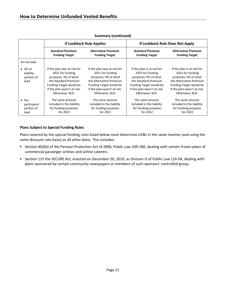|                                                                                                                                                                                                                                                                                                   |                                                                                  | If Lookback Rule Applies                                                                                                | If Lookback Rule Does Not Apply                                                                                                                                             |                                                                                                                                                                                |
|---------------------------------------------------------------------------------------------------------------------------------------------------------------------------------------------------------------------------------------------------------------------------------------------------|----------------------------------------------------------------------------------|-------------------------------------------------------------------------------------------------------------------------|-----------------------------------------------------------------------------------------------------------------------------------------------------------------------------|--------------------------------------------------------------------------------------------------------------------------------------------------------------------------------|
|                                                                                                                                                                                                                                                                                                   | <b>Standard Premium</b><br><b>Funding Target</b>                                 | <b>Alternative Premium</b><br><b>Funding Target</b>                                                                     | <b>Standard Premium</b><br><b>Funding Target</b>                                                                                                                            | <b>Alternative Premium</b><br><b>Funding Target</b>                                                                                                                            |
| At-risk load                                                                                                                                                                                                                                                                                      |                                                                                  |                                                                                                                         |                                                                                                                                                                             |                                                                                                                                                                                |
| If the plan was at-risk for<br>$\bullet$ 4% of<br>2021 for funding<br>2021 for funding<br>liability<br>purposes, 4% of what<br>purposes, 4% of what<br>portion of<br>the Standard Premium<br>load<br>Funding Target would be<br>if the plan wasn't at-risk.<br>Otherwise, N/A.<br>Otherwise, N/A. |                                                                                  | If the plan was at-risk for<br>the Alternative Premium<br><b>Funding Target would be</b><br>if the plan wasn't at-risk. | If the plan is at-risk for<br>2022 for funding<br>purposes, 4% of what<br>the Standard Premium<br>Funding Target would be<br>if the plan wasn't at-risk.<br>Otherwise, N/A. | If the plan is at-risk for<br>2022 for funding<br>purposes, 4% of what<br>the Alternative Premium<br>Funding Target would be<br>if the plan wasn't at-risk.<br>Otherwise, N/A. |
| $\bullet$ Per-<br>participant<br>portion of<br>load                                                                                                                                                                                                                                               | The same amount<br>included in the liability<br>for funding purposes<br>for 2021 | The same amount<br>included in the liability<br>for funding purposes<br>for 2021                                        | The same amount<br>included in the liability<br>for funding purposes<br>for 2022                                                                                            | The same amount<br>included in the liability<br>for funding purposes<br>for 2022                                                                                               |

# **Summary (continued)**

# <span id="page-22-0"></span>**Plans Subject to Special Funding Rules**

Plans covered by the special funding rules listed below must determine UVBs in the same manner (and using the same discount rate basis) as all other plans. This includes:

- Section 402(b) of the Pension Protection Act of 2006, Public Law 109-280, dealing with certain frozen plans of commercial passenger airlines and airline caterers.
- Section 115 the SECURE Act, enacted on December 20, 2019, as Division O of Public Law 116-94, dealing with plans sponsored by certain community newspapers or members of such sponsors' controlled group.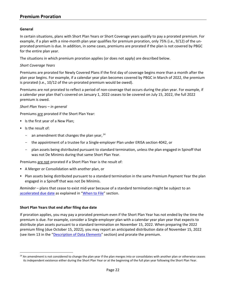# **Premium Proration**

#### <span id="page-23-0"></span>**General**

In certain situations, plans with Short Plan Years or Short Coverage years qualify to pay a prorated premium. For example, if a plan with a nine-month plan year qualifies for premium proration, only 75% (i.e., 9/12) of the unprorated premium is due. In addition, in some cases, premiums are prorated if the plan is not covered by PBGC for the entire plan year.

The situations in which premium proration applies (or does not apply) are described below.

#### *Short Coverage Years*

Premiums are prorated for Newly Covered Plans if the first day of coverage begins more than a month after the plan year begins. For example, if a calendar year plan becomes covered by PBGC in March of 2022, the premium is prorated (i.e., 10/12 of the un-prorated premium would be owed).

Premiums are not prorated to reflect a period of non-coverage that occurs during the plan year. For example, if a calendar year plan that's covered on January 1, 2022 ceases to be covered on July 15, 2022, the full 2022 premium is owed.

#### *Short Plan Years – in general*

Premiums are prorated if the Short Plan Year:

- Is the first year of a New Plan;
- Is the result of:
	- $-$  an amendment that changes the plan year,  $^{14}$  $^{14}$  $^{14}$
	- the appointment of a trustee for a Single-employer Plan under ERISA section 4042, or
	- plan assets being distributed pursuant to standard termination, unless the plan engaged in Spinoff that was not De Minimis during that same Short Plan Year.

Premiums are not prorated if a Short Plan Year is the result of:

- A Merger or Consolidation with another plan, or
- Plan assets being distributed pursuant to a standard termination in the same Premium Payment Year the plan engaged in a Spinoff that was not De Minimis.

*Reminder* – plans that cease to exist mid-year because of a standard termination might be subject to an [accelerated due date](#page-8-2) as explained in ["When to File"](#page-6-0) section.

#### **Short Plan Years that end after filing due date**

If proration applies, you may pay a prorated premium even if the Short Plan Year has not ended by the time the premium is due. For example, consider a Single-employer plan with a calendar year plan year that expects to distribute plan assets pursuant to a standard termination on November 15, 2022. When preparing the 2022 premium filing (due October 15, 2022), you may report an anticipated distribution date of November 15, 2022 (see item 13 in the ["Description of Data El](#page-37-0)ements" section) and prorate the premium.

<span id="page-23-1"></span><sup>&</sup>lt;sup>14</sup> An amendment is not considered to change the plan year if the plan merges into or consolidates with another plan or otherwise ceases its independent existence either during the Short Plan Year or at the beginning of the full plan year following the Short Plan Year.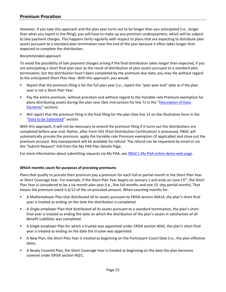# **Premium Proration**

However, if you take this approach and the plan year turns out to be longer than you anticipated (i.e., longer than what you report in the filing), you will have to make up any premium underpayment, which will be subject to late payment charges. This happens fairly regularly with respect to plans that are expecting to distribute plan assets pursuant to a standard plan termination near the end of the year because it often takes longer than expected to complete the distribution.

#### *Recommended approach*

To avoid the possibility of late payment charges arising if the final distribution takes longer than expected, if you are anticipating a short final plan year as the result of distribution of plan assets pursuant to a standard plan termination, but the distribution hasn't been completed by the premium due date, you may file without regard to the anticipated Short Plan Year. With this approach, you would:

- Report that the premium filing is for the full plan year (i.e., report the "plan year end" date as if the plan year is not a Short Plan Year.
- Pay the entire premium, without proration and without regard to the Variable-rate Premium exemption for plans distributing assets during the plan year (See instructions for line 7c in the ["Description of Data](#page-37-0)  [Elements"](#page-37-0) section).
- Not report that the premium filing is the final filing for the plan (See line 13 on the illustrative form in the ["Data to be Submitted"](#page-32-0) section.

With this approach, it will not be necessary to amend the premium filing if it turns out the distributions are completed before year end. Rather, after Form 501 (Post-Distribution Certification) is processed, PBGC will automatically prorate the premium, apply the Variable-rate Premium exemption (if applicable) and close out the premium account. Any overpayment will be available for refund. The refund can be requested by email or via the "Submit Request" link from the My PAA Plan Details Page.

For more information about submitting requests via My PAA, see [PBGC's My PAA online demo web page.](https://www.pbgc.gov/prac/prem/online-premium-filing-with-my-paa/my-paa-online-demonstrations)

#### **Which months count for purposes of prorating premiums**

Plans that qualify to prorate their premium pay a premium for each full or partial month in the Short Plan Year or Short Coverage Year. For example, if the Short Plan Year begins on January 1 and ends on June 15th, the Short Plan Year is considered to be a six-month plan year (i.e., five full months and one 15 -day partial month). That means the premium owed is 6/12 of the un-prorated amount. When counting months for:

- A Multiemployer Plan that distributed all its assets pursuant to ERISA section 4041A, the plan's short final year is treated as ending on the date the distribution is completed.
- A Single-employer Plan that distributed all its assets pursuant to a standard termination, the plan's short final year is treated as ending the date on which the distribution of the plan's assets in satisfaction of all Benefit Liabilities was completed.
- A Single-employer Plan for which a trustee was appointed under ERISA section 4042, the plan's short final year is treated as ending on the date the trustee was appointed.
- A New Plan, the Short Plan Year is treated as beginning on the Participant Count Date (i.e., the plan effective date).
- A Newly Covered Plan, the Short Coverage Year is treated as beginning on the date the plan becomes covered under ERISA section 4021.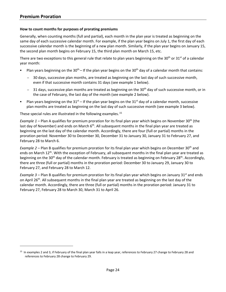# **How to count months for purposes of prorating premiums**

Generally, when counting months (full and partial), each month in the plan year is treated as beginning on the same day of each successive calendar month. For example, if the plan year begins on July 1, the first day of each successive calendar month is the beginning of a new plan month. Similarly, if the plan year begins on January 15, the second plan month begins on February 15, the third plan month on March 15, etc.

There are two exceptions to this general rule that relate to plan years beginning on the 30<sup>th</sup> or 31<sup>st</sup> of a calendar year month:

- Plan years beginning on the 30<sup>th</sup> If the plan year begins on the 30<sup>th</sup> day of a calendar month that contains:
	- 30 days, successive plan months, are treated as beginning on the last day of such successive month, even if that successive month contains 31 days (see example 1 below).
	- $-$  31 days, successive plan months are treated as beginning on the 30<sup>th</sup> day of such successive month, or in the case of February, the last day of the month (see example 2 below).
- Plan years beginning on the  $31<sup>st</sup> 1$  if the plan year begins on the  $31<sup>st</sup>$  day of a calendar month, successive plan months are treated as beginning on the last day of such successive month (see example 3 below).

These special rules are illustrated in the following examples.<sup>[15](#page-25-0)</sup>

*Example 1* – Plan A qualifies for premium proration for its final plan year which begins on November 30<sup>th</sup> (the last day of November) and ends on March  $6<sup>th</sup>$ . All subsequent months in the final plan year are treated as beginning on the last day of the calendar month. Accordingly, there are four (full or partial) months in the proration period: November 30 to December 30, December 31 to January 30, January 31 to February 27, and February 28 to March 6.

*Example 2* – Plan B qualifies for premium proration for its final plan year which begins on December 30<sup>th</sup> and ends on March 12<sup>th</sup>. With the exception of February, all subsequent months in the final plan year are treated as beginning on the 30<sup>th</sup> day of the calendar month. February is treated as beginning on February 28<sup>th</sup>. Accordingly, there are three (full or partial) months in the proration period: December 30 to January 29, January 30 to February 27, and February 28 to March 12.

*Example 3* – Plan B qualifies for premium proration for its final plan year which begins on January 31<sup>st</sup> and ends on April 26<sup>th</sup>. All subsequent months in the final plan year are treated as beginning on the last day of the calendar month. Accordingly, there are three (full or partial) months in the proration period: January 31 to February 27, February 28 to March 30, March 31 to April 26.

<span id="page-25-0"></span><sup>&</sup>lt;sup>15</sup> In examples 2 and 3, if February of the final plan year falls in a leap year, references to February 27 change to February 28 and references to February 28 change to February 29.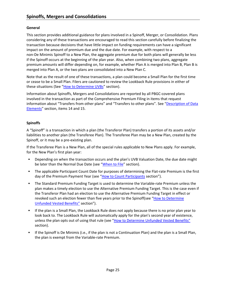# <span id="page-26-0"></span>**General**

This section provides additional guidance for plans involved in a Spinoff, Merger, or Consolidation. Plans considering any of these transactions are encouraged to read this section carefully before finalizing the transaction because decisions that have little impact on funding requirements can have a significant impact on the amount of premium due and the due date. For example, with respect to a non-De Minimis Spinoff to a New Plan, the aggregate premium due for both plans will generally be less if the Spinoff occurs at the beginning of the plan year. Also, when combining two plans, aggregate premium amounts will differ depending on, for example, whether Plan A is merged into Plan B, Plan B is merged into Plan A, or the two plans are consolidated into a New Plan C.

Note that as the result of one of these transactions, a plan could become a Small Plan for the first time or cease to be a Small Plan. Filers are cautioned to review the Lookback Rule provisions in either of these situations (See ["How to Determine UVBs"](#page-15-0) section).

Information about Spinoffs, Mergers and Consolidations are reported by all PBGC-covered plans involved in the transaction as part of the Comprehensive Premium Filing in items that request information about "Transfers from other plans" and "Transfers to other plans". See ["Description of Data](#page-37-0)  [Elements"](#page-37-0) section, items 14 and 15.

# **Spinoffs**

A "Spinoff" is a transaction in which a plan (the Transferor Plan) transfers a portion of its assets and/or liabilities to another plan (the Transferee Plan). The Transferee Plan may be a New Plan, created by the Spinoff, or it may be a pre-existing plan.

If the Transferee Plan is a New Plan, all of the special rules applicable to New Plans apply. For example, for the New Plan's first plan year:

- Depending on when the transaction occurs and the plan's UVB Valuation Date, the due date might be later than the Normal Due Date (see ["When to File"](#page-6-0) section).
- The applicable Participant Count Date for purposes of determining the Flat-rate Premium is the first day of the Premium Payment Year (see ["How to Count Participants](#page-11-0) section").
- The Standard Premium Funding Target is used to determine the Variable-rate Premium unless the plan makes a timely election to use the Alternative Premium Funding Target. This is the case even if the Transferor Plan had an election to use the Alternative Premium Funding Target in effect or revoked such an election fewer than five years prior to the Spinoff(see ["How to Determine](#page-15-0)  [Unfunded Vested Benefits"](#page-15-0) section").
- If the plan is a Small Plan, the Lookback Rule does not apply because there is no prior plan year to look back to. The Lookback Rule will automatically apply for the plan's second year of existence, unless the plan opts out of using that rule (see ["How to Determine Unfunded Vested Benefits"](#page-15-0) section).
- If the Spinoff is De Minimis (i.e., if the plan is not a Continuation Plan) and the plan is a Small Plan, the plan is exempt from the Variable-rate Premium.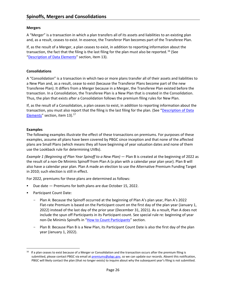# **Mergers**

A "Merger" is a transaction in which a plan transfers all of its assets and liabilities to an existing plan and, as a result, ceases to exist. In essence, the Transferor Plan becomes part of the Transferee Plan.

If, as the result of a Merger, a plan ceases to exist, in addition to reporting information about the transaction, the fact that the filing is the last filing for the plan must also be reported. <sup>[16](#page-27-0)</sup> (See ["Description of Data Elements"](#page-37-0) section, item 13).

# **Consolidations**

A "Consolidation" is a transaction in which two or more plans transfer all of their assets and liabilities to a New Plan and, as a result, cease to exist (because the Transferor Plans become part of the new Transferee Plan). It differs from a Merger because in a Merger, the Transferee Plan existed before the transaction. In a Consolidation, the Transferee Plan is a New Plan that is created in the Consolidation. Thus, the plan that exists after a Consolidation follows the premium filing rules for New Plan.

If, as the result of a Consolidation, a plan ceases to exist, in addition to reporting information about the transaction, you must also report that the filing is the last filing for the plan. (See "Description of Data [Elements"](#page-37-0) section, item 13).<sup>17</sup>

# **Examples**

The following examples illustrate the effect of these transactions on premiums. For purposes of these examples, assume all plans have been covered by PBGC since inception and that none of the affected plans are Small Plans (which means they all have beginning of year valuation dates and none of them use the Lookback rule for determining UVBs).

*Example 1 (Beginning of Plan Year Spinoff to a New Plan)* — Plan B is created at the beginning of 2022 as the result of a non-De Minimis Spinoff from Plan A (a plan with a calendar year plan year). Plan B will also have a calendar year plan. Plan A made an election to use the Alternative Premium Funding Target in 2010; such election is still in effect.

For 2022, premiums for these plans are determined as follows:

- Due date Premiums for both plans are due October 15, 2022.
- Participant Count Date:
	- Plan A: Because the Spinoff occurred at the beginning of Plan A's plan year, Plan A's 2022 Flat-rate Premium is based on the Participant count on the first day of the plan year (January 1, 2022) instead of the last day of the prior year (December 31, 2021). As a result, Plan A does not include the spun off Participants in its Participant count. See special rule re: beginning of year non-De Minimis Spinoffs in ["How to Count Participants"](#page-11-0) section.
	- Plan B: Because Plan B is a New Plan, its Participant Count Date is also the first day of the plan year (January 1, 2022).

<span id="page-27-0"></span><sup>&</sup>lt;sup>16</sup> If a plan ceases to exist because of a Merger or Consolidation and the transaction occurs after the premium filing is submitted, please contact PBGC via email a[t premiums@pbgc.gov,](mailto:premiums@pbgc.gov) so we can update our records. Absent this notification, PBGC will likely contact the plan (that no longer exists) to inquire about why the subsequent year's filing is not submitted.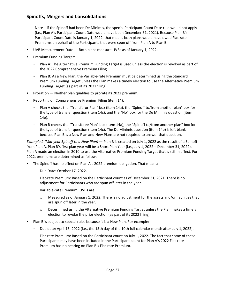Note – if the Spinoff had been De Minimis, the special Participant Count Date rule would not apply (i.e., Plan A's Participant Count Date would have been December 31, 2021). Because Plan B's Participant Count Date is January 1, 2022, that means both plans would have owed Flat-rate Premiums on behalf of the Participants that were spun off from Plan A to Plan B.

- UVB Measurement Date Both plans measure UVBs as of January 1, 2022.
- Premium Funding Target:
	- Plan A: The Alternative Premium Funding Target is used unless the election is revoked as part of the 2022 Comprehensive Premium Filing.
	- Plan B: As a New Plan, the Variable-rate Premium must be determined using the Standard Premium Funding Target unless the Plan makes a timely election to use the Alternative Premium Funding Target (as part of its 2022 filing).
- Proration Neither plan qualifies to prorate its 2022 premium.
- Reporting on Comprehensive Premium Filing (item 14):
	- Plan A checks the "Transferor Plan" box (item 14a), the "Spinoff to/from another plan" box for the type of transfer question (item 14c), and the "No" box for the De Minimis question (item 14e).
	- Plan B checks the "Transferee Plan" box (item 14a), the "Spinoff to/from another plan" box for the type of transfer question (item 14c). The De Minimis question (item 14e) is left blank because Plan B is a New Plan and New Plans are not required to answer that question.

*Example 2 (Mid-year Spinoff to a New Plan)* — Plan B is created on July 1, 2022 as the result of a Spinoff from Plan A. Plan B's first plan year will be a Short Plan Year (i.e., July 1, 2022 – December 31, 2022). Plan A made an election in 2010 to use the Alternative Premium Funding Target that is still in effect. For 2022, premiums are determined as follows:

- The Spinoff has no effect on Plan A's 2022 premium obligation. That means:
	- Due Date: October 17, 2022.
	- Flat-rate Premium: Based on the Participant count as of December 31, 2021. There is no adjustment for Participants who are spun off later in the year.
	- Variable-rate Premium: UVBs are:
		- $\circ$  Measured as of January 1, 2022. There is no adjustment for the assets and/or liabilities that are spun off later in the year.
		- o Determined using the Alternative Premium Funding Target unless the Plan makes a timely election to revoke the prior election (as part of its 2022 filing).
- Plan B is subject to special rules because it is a New Plan. For example:
	- Due date: April 15, 2022 (i.e., the 15th day of the 10th full calendar month after July 1, 2022).
	- Flat-rate Premium: Based on the Participant count on July 1, 2022. The fact that some of these Participants may have been included in the Participant count for Plan A's 2022 Flat-rate Premium has no bearing on Plan B's Flat-rate Premium.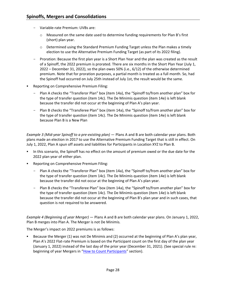- Variable-rate Premium: UVBs are:
	- o Measured on the same date used to determine funding requirements for Plan B's first (short) plan year.
	- $\circ$  Determined using the Standard Premium Funding Target unless the Plan makes a timely election to use the Alternative Premium Funding Target (as part of its 2022 filing).
- Proration: Because the first plan year is a Short Plan Year and the plan was created as the result of a Spinoff, the 2022 premium is prorated. There are six months in the Short Plan Year (July 1, 2022 – December 31, 2022), so the plan owes 50% (i.e., 6/12) of the otherwise determined premium. Note that for proration purposes, a partial month is treated as a full month. So, had the Spinoff had occurred on July 25th instead of July 1st, the result would be the same.
- Reporting on Comprehensive Premium Filing:
	- Plan A checks the "Transferor Plan" box (item 14a), the "Spinoff to/from another plan" box for the type of transfer question (item 14c). The De Minimis question (item 14e) is left blank because the transfer did not occur at the beginning of Plan A's plan year.
	- Plan B checks the "Transferee Plan" box (item 14a), the "Spinoff to/from another plan" box for the type of transfer question (item 14c). The De Minimis question (item 14e) is left blank because Plan B is a New Plan

*Example 3 (Mid-year Spinoff to a pre-existing plan)* — Plans A and B are both calendar year plans. Both plans made an election in 2017 to use the Alternative Premium Funding Target that is still in effect. On July 1, 2022, Plan A spun off assets and liabilities for Participants in Location XYZ to Plan B.

- In this scenario, the Spinoff has no effect on the amount of premium owed or the due date for the 2022 plan year of either plan.
- Reporting on Comprehensive Premium Filing:
	- Plan A checks the "Transferor Plan" box (item 14a), the "Spinoff to/from another plan" box for the type of transfer question (item 14c). The De Minimis question (item 14e) is left blank because the transfer did not occur at the beginning of Plan A's plan year.
	- Plan B checks the "Transferee Plan" box (item 14a), the "Spinoff to/from another plan" box for the type of transfer question (item 14c). The De Minimis question (item 14e) is left blank because the transfer did not occur at the beginning of Plan B's plan year and in such cases, that question is not required to be answered.

*Example 4 (Beginning of year Merger)* — Plans A and B are both calendar year plans. On January 1, 2022, Plan B merges into Plan A. The Merger is not De Minimis*.*

The Merger's impact on 2022 premiums is as follows:

 Because the Merger (1) was not De Minimis and (2) occurred at the beginning of Plan A's plan year, Plan A's 2022 Flat-rate Premium is based on the Participant count on the first day of the plan year (January 1, 2022) instead of the last day of the prior year (December 31, 2021). (See special rule re: beginning of year Mergers in ["How to Count Participants"](#page-11-0) section).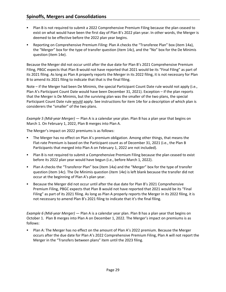- Plan B is not required to submit a 2022 Comprehensive Premium Filing because the plan ceased to exist on what would have been the first day of Plan B's 2022 plan year. In other words, the Merger is deemed to be effective before the 2022 plan year begins.
- Reporting on Comprehensive Premium Filing: Plan A checks the "Transferee Plan" box (item 14a), the "Merger" box for the type of transfer question (item 14c), and the "No" box for the De Minimis question (item 14e).

Because the Merger did not occur until after the due date for Plan B's 2021 Comprehensive Premium Filing, PBGC expects that Plan B would not have reported that 2021 would be its "Final Filing" as part of its 2021 filing. As long as Plan A properly reports the Merger in its 2022 filing, it is not necessary for Plan B to amend its 2021 filing to indicate that that is the final filing.

Note – if the Merger had been De Minimis, the special Participant Count Date rule would not apply (i.e., Plan A's Participant Count Date would have been December 31, 2021). Exception – if the plan reports that the Merger is De Minimis, but the surviving plan was the smaller of the two plans, the special Participant Count Date rule would apply. See instructions for item 14e for a description of which plan is considerers the "smaller" of the two plans.

*Example 5 (Mid-year Merger)* — Plan A is a calendar year plan. Plan B has a plan year that begins on March 1. On February 1, 2022, Plan B merges into Plan A.

The Merger's impact on 2022 premiums is as follows:

- The Merger has no effect on Plan A's premium obligation. Among other things, that means the Flat-rate Premium is based on the Participant count as of December 31, 2021 (i.e., the Plan B Participants that merged into Plan A on February 1, 2022 are not included).
- Plan B is not required to submit a Comprehensive Premium Filing because the plan ceased to exist before its 2022 plan year would have begun (i.e., before March 1, 2022).
- Plan A checks the "Transferor Plan" box (item 14a) and the "Merger" box for the type of transfer question (item 14c). The De Minimis question (item 14e) is left blank because the transfer did not occur at the beginning of Plan A's plan year.
- Because the Merger did not occur until after the due date for Plan B's 2021 Comprehensive Premium Filing, PBGC expects that Plan B would not have reported that 2021 would be its "Final Filing" as part of its 2021 filing. As long as Plan A properly reports the Merger in its 2022 filing, it is not necessary to amend Plan B's 2021 filing to indicate that it's the final filing.

*Example 6 (Mid-year Merger)* — Plan A is a calendar year plan. Plan B has a plan year that begins on October 1. Plan B merges into Plan A on December 1, 2022. The Merger's impact on premiums is as follows:

 Plan A: The Merger has no effect on the amount of Plan A's 2022 premium. Because the Merger occurs after the due date for Plan A's 2022 Comprehensive Premium Filing, Plan A will not report the Merger in the "Transfers between plans" item until the 2023 filing.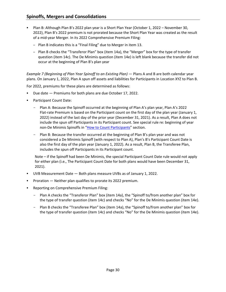- Plan B: Although Plan B's 2022 plan year is a Short Plan Year (October 1, 2022 November 30, 2022), Plan B's 2022 premium is not prorated because the Short Plan Year was created as the result of a mid-year Merger. In its 2022 Comprehensive Premium Filing:
	- ‒ Plan B indicates this is a "Final Filing" due to Merger in item 13.
	- ‒ Plan B checks the "Transferor Plan" box (item 14a), the "Merger" box for the type of transfer question (item 14c). The De Minimis question (item 14e) is left blank because the transfer did not occur at the beginning of Plan B's plan year

*Example 7 (Beginning of Plan Year Spinoff to an Existing Plan)* — Plans A and B are both calendar year plans. On January 1, 2022, Plan A spun off assets and liabilities for Participants in Location XYZ to Plan B.

For 2022, premiums for these plans are determined as follows:

- Due date Premiums for both plans are due October 17, 2022.
- Participant Count Date:
	- Plan A: Because the Spinoff occurred at the beginning of Plan A's plan year, Plan A's 2022 Flat-rate Premium is based on the Participant count on the first day of the plan year (January 1, 2022) instead of the last day of the prior year (December 31, 2021). As a result, Plan A does not include the spun off Participants in its Participant count. See special rule re: beginning of year non-De Minimis Spinoffs in ["How to Count Participants"](#page-11-0) section.
	- Plan B: Because the transfer occurred at the beginning of Plan B's plan year and was not considered a De Minimis Spinoff (with respect to Plan A), Plan's B's Participant Count Date is also the first day of the plan year (January 1, 2022). As a result, Plan B, the Transferee Plan, includes the spun off Participants in its Participant count.

Note – if the Spinoff had been De Minimis, the special Participant Count Date rule would not apply for either plan (i.e., The Participant Count Date for both plans would have been December 31, 2021).

- UVB Measurement Date Both plans measure UVBs as of January 1, 2022.
- Proration Neither plan qualifies to prorate its 2022 premium.
- Reporting on Comprehensive Premium Filing:
	- Plan A checks the "Transferor Plan" box (item 14a), the "Spinoff to/from another plan" box for the type of transfer question (item 14c) and checks "No" for the De Minimis question (item 14e).
	- Plan B checks the "Transferee Plan" box (item 14a), the "Spinoff to/from another plan" box for the type of transfer question (item 14c) and checks "No" for the De Minimis question (item 14e).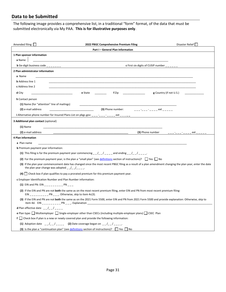<span id="page-32-0"></span>The following image provides a comprehensive list, in a traditional "form" format, of the data that must be submitted electronically via My PAA. **This is for illustrative purposes only**.

| Amended filing $\square$<br>Disaster Relief<br>2022 PBGC Comprehensive Premium Filing                                                                                                                                                                                                          |
|------------------------------------------------------------------------------------------------------------------------------------------------------------------------------------------------------------------------------------------------------------------------------------------------|
| Part I - General Plan Information                                                                                                                                                                                                                                                              |
| 1 Plan sponsor information                                                                                                                                                                                                                                                                     |
| a Name                                                                                                                                                                                                                                                                                         |
| c First six digits of CUSIP number $\frac{1}{2}$<br><b>b</b> Six-digit business code $\frac{1}{2}$ $\frac{1}{2}$                                                                                                                                                                               |
| 2 Plan administrator information                                                                                                                                                                                                                                                               |
| a Name                                                                                                                                                                                                                                                                                         |
| <b>b</b> Address line 1                                                                                                                                                                                                                                                                        |
| c Address line 2                                                                                                                                                                                                                                                                               |
| <b>e</b> State and the state of the state of the state of the state of the state of the state of the state of the state of the state of the state of the state of the state of the state of the state of the state of the state of<br>$f\,\mathrm{Zip}$<br>$g$ Country (if not U.S.)<br>d City |
| h Contact person                                                                                                                                                                                                                                                                               |
| (1) Name (for "attention" line of mailings)                                                                                                                                                                                                                                                    |
| (3) Phone number:<br>(2) e-mail address<br><u> 1990 - Johann John Stone, markin f</u>                                                                                                                                                                                                          |
| i Alternative phone number for Insured Plans List on pbgc.gov: ____-__-_-_ ext _____                                                                                                                                                                                                           |
| 3 Additional plan contact (optional)                                                                                                                                                                                                                                                           |
| $(1)$ Name                                                                                                                                                                                                                                                                                     |
| (3) Phone number<br>(2) e-mail address<br><u> 1999 - Albert Albert III, primeira a popular</u><br>ext                                                                                                                                                                                          |
| 4 Plan information                                                                                                                                                                                                                                                                             |
| a Plan name                                                                                                                                                                                                                                                                                    |
| <b>b</b> Premium payment year information:                                                                                                                                                                                                                                                     |
| (1) This filing is for the premium payment year commencing $\frac{1}{2}$ $\frac{1}{2}$ $\frac{1}{2}$ and ending $\frac{1}{2}$ $\frac{1}{2}$ $\frac{1}{2}$                                                                                                                                      |
| (2) For the premium payment year, is the plan a "small plan" (see definitions section of instructions)? $\Box$ Yes $\Box$ No                                                                                                                                                                   |
| (3) If the plan year commencement date has changed since the most recent PBGC filing as a result of a plan amendment changing the plan year, enter the date<br>the plan year change was adopted $\angle$ / / _ _ _ .                                                                           |
| $(4)$   Check box if plan qualifies to pay a prorated premium for this premium payment year.                                                                                                                                                                                                   |
| c Employer Identification Number and Plan Number information:                                                                                                                                                                                                                                  |
| (1) EIN and PN: EIN __________ PN ___                                                                                                                                                                                                                                                          |
| (2) If the EIN and PN are not both the same as on the most recent premium filing, enter EIN and PN from most recent premium filing:<br>$EIN$ _________ PN ___. Otherwise, skip to item 4c(3).                                                                                                  |
| (3) If the EIN and PN are not both the same as on the 2021 Form 5500, enter EIN and PN from 2021 Form 5500 and provide explanation: Otherwise, skip to                                                                                                                                         |
| <b>d</b> Plan effective date $-$ /_ /_ _ _                                                                                                                                                                                                                                                     |
| <b>e</b> Plan type: $\Box$ Multiemployer $\Box$ Single-employer other than CSECs (including multiple-employer plans) $\Box$ CSEC Plan                                                                                                                                                          |
| $f \Box$ Check box if plan is a new or newly covered plan and provide the following information:                                                                                                                                                                                               |
| (1) Adoption date $\frac{1}{2}$ $\frac{1}{2}$ $\frac{1}{2}$ $\frac{1}{2}$ Date coverage began on $\frac{1}{2}$ $\frac{1}{2}$ $\frac{1}{2}$ $\frac{1}{2}$ $\frac{1}{2}$                                                                                                                         |
| <b>(3)</b> Is the plan a "continuation plan" (see definitions section of instructions)? $\Box$ Yes $\Box$ No                                                                                                                                                                                   |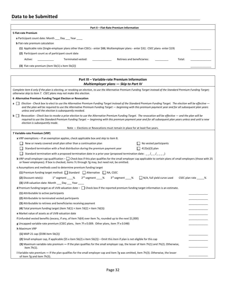| Part II - Flat-Rate Premium Information                                                                                             |                    |                             |        |  |
|-------------------------------------------------------------------------------------------------------------------------------------|--------------------|-----------------------------|--------|--|
| 5 Flat-rate Premium                                                                                                                 |                    |                             |        |  |
| <b>a</b> Participant count date: Month Day Year                                                                                     |                    |                             |        |  |
| <b>b</b> Flat-rate premium calculation                                                                                              |                    |                             |        |  |
| (1) Applicable rate (Single-employer plans other than CSECs - enter \$88; Multiemployer plans - enter \$32; CSEC plans- enter \$19) |                    |                             |        |  |
| (2) Participant count as of participant count date                                                                                  |                    |                             |        |  |
| Active:                                                                                                                             | Terminated vested: | Retirees and beneficiaries: | Total: |  |
| (3) Flat-rate premium (item $5b(1)$ x item $5b(2)$ )                                                                                |                    |                             |        |  |
|                                                                                                                                     |                    |                             |        |  |
| Part III - Variable-rate Premium Information                                                                                        |                    |                             |        |  |
| Multiemployer plans – Skip to Part IV                                                                                               |                    |                             |        |  |

|                | <i>INGURIERI PIGHS</i> – <i>SKIP to Fait IV</i>                                                                                                                                                                                                                                                                                                                                    |  |  |
|----------------|------------------------------------------------------------------------------------------------------------------------------------------------------------------------------------------------------------------------------------------------------------------------------------------------------------------------------------------------------------------------------------|--|--|
|                | Complete item 6 only if the plan is electing, or revoking an election, to use the Alternative Premium Funding Target instead of the Standard Premium Funding Target;<br>otherwise skip to item 7. CSEC plans may not make this election.                                                                                                                                           |  |  |
|                | 6 Alternative Premium Funding Target Election or Revocation                                                                                                                                                                                                                                                                                                                        |  |  |
| $a \mid \mid$  | Election - Check box to elect to use the Alternative Premium Funding Target instead of the Standard Premium Funding Target. The election will be effective -<br>and the plan will be required to use the Alternative Premium Funding Target — beginning with this premium payment year and for all subsequent plan years<br>unless and until the election is subsequently revoked. |  |  |
| $b \mid \cdot$ | Revocation - Check box to revoke a prior election to use the Alternative Premium Funding Target. The revocation will be effective - and the plan will be<br>required to use the Standard Premium Funding Target — beginning with this premium payment year and for all subsequent plan years unless and until a new<br>election is subsequently made.                              |  |  |
|                | Note - Elections or Revocations must remain in place for at least five years.                                                                                                                                                                                                                                                                                                      |  |  |
|                | 7 Variable-rate Premium (VRP)                                                                                                                                                                                                                                                                                                                                                      |  |  |
|                | a VRP exemptions – If an exemption applies, check applicable box and skip to item 8.                                                                                                                                                                                                                                                                                               |  |  |
|                | $\Box$ No vested participants<br>New or newly covered small plan other than a continuation plan                                                                                                                                                                                                                                                                                    |  |  |
|                | $\Box$ 412(e)(3) plan<br>Standard termination with a final distribution during the premium payment year                                                                                                                                                                                                                                                                            |  |  |
|                | Standard termination with a proposed termination date in a prior year (proposed termination date: $/$ / )                                                                                                                                                                                                                                                                          |  |  |
|                | <b>b</b> VRP small employer cap qualification – Check box if this plan qualifies for the small employer cap applicable to certain plans of small employers (those with 25<br>or fewer employees). If box is checked, items 7c through 7g may, but need not, be omitted.                                                                                                            |  |  |
|                | c Assumptions and methods used to determine premium funding target                                                                                                                                                                                                                                                                                                                 |  |  |
|                | (1) Premium funding target method: Standard $\Box$ Alternative $\Box$ NA, CSEC                                                                                                                                                                                                                                                                                                     |  |  |
|                | $1^{st}$ segment $2^{nd}$ segment $2^{nd}$<br>3 <sup>rd</sup> segment %<br>$\Box$ N/A, full yield curve used<br>$(2)$ Discount rate(s):<br>CSEC plan rate ______%                                                                                                                                                                                                                  |  |  |
|                | (3) UVB valuation date: Month ____ Day ____ Year _____                                                                                                                                                                                                                                                                                                                             |  |  |
|                | d Premium funding target as of UVB valuation date $-\Box$ Check box if the reported premium funding target information is an estimate.                                                                                                                                                                                                                                             |  |  |
|                | (1) Attributable to active participants                                                                                                                                                                                                                                                                                                                                            |  |  |
|                | (2) Attributable to terminated vested participants                                                                                                                                                                                                                                                                                                                                 |  |  |
|                | (3) Attributable to retirees and beneficiaries receiving payment                                                                                                                                                                                                                                                                                                                   |  |  |
|                | (4) Total premium funding target (item $7d(1) +$ item $7d(2) +$ item $7d(3)$ )                                                                                                                                                                                                                                                                                                     |  |  |
|                | e Market value of assets as of UVB valuation date                                                                                                                                                                                                                                                                                                                                  |  |  |
|                | f Unfunded vested benefits (excess, if any, of item $7d(4)$ over item 7e, rounded up to the next \$1,000)                                                                                                                                                                                                                                                                          |  |  |
|                | g Uncapped variable-rate premium (CSEC plans, item 7f x 0.009. Other plans, item 7f x 0.048)                                                                                                                                                                                                                                                                                       |  |  |
|                | <b>h</b> Maximum VRP                                                                                                                                                                                                                                                                                                                                                               |  |  |
|                | $(1)$ MAP-21 cap (\$598 item 5b(2))                                                                                                                                                                                                                                                                                                                                                |  |  |
|                | (2) Small employer cap, if applicable (\$5 x item 5b(2) x item 5b(2)) – Omit this item if plan is not eligible for this cap                                                                                                                                                                                                                                                        |  |  |
|                | (3) Maximum variable-rate premium $-$ If the plan qualifies for the small employer cap, the lesser of item 7h(1) and 7h(2). Otherwise,<br>item 7h(1).                                                                                                                                                                                                                              |  |  |
|                | i Variable-rate premium $-$ If the plan qualifies for the small employer cap and item 7g was omitted, item 7h(3). Otherwise, the lesser<br>of item 7g and item 7h(3).                                                                                                                                                                                                              |  |  |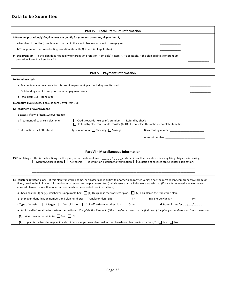|                                                                                            | Part IV - Total Premium Information                                                                                                                          |                                                                                                                                                                                                                                                                                                                                                 |  |  |  |
|--------------------------------------------------------------------------------------------|--------------------------------------------------------------------------------------------------------------------------------------------------------------|-------------------------------------------------------------------------------------------------------------------------------------------------------------------------------------------------------------------------------------------------------------------------------------------------------------------------------------------------|--|--|--|
|                                                                                            | 8 Premium proration (If the plan does not qualify for premium proration, skip to item 9)                                                                     |                                                                                                                                                                                                                                                                                                                                                 |  |  |  |
|                                                                                            | a Number of months (complete and partial) in the short plan year or short coverage year                                                                      |                                                                                                                                                                                                                                                                                                                                                 |  |  |  |
| <b>b</b> Total premium before reflecting proration (item $5b(3) +$ item 7i, if applicable) |                                                                                                                                                              |                                                                                                                                                                                                                                                                                                                                                 |  |  |  |
| proration, item 8b x item 8a $\div$ 12.                                                    | 9 Total premium - If the plan does not qualify for premium proration, item 5b(3) + item 7i, if applicable. If the plan qualifies for premium                 |                                                                                                                                                                                                                                                                                                                                                 |  |  |  |
|                                                                                            | Part V - Payment Information                                                                                                                                 |                                                                                                                                                                                                                                                                                                                                                 |  |  |  |
| 10 Premium credit                                                                          |                                                                                                                                                              |                                                                                                                                                                                                                                                                                                                                                 |  |  |  |
|                                                                                            | a Payments made previously for this premium payment year (including credits used)                                                                            |                                                                                                                                                                                                                                                                                                                                                 |  |  |  |
| <b>b</b> Outstanding credit from prior premium payment years                               |                                                                                                                                                              |                                                                                                                                                                                                                                                                                                                                                 |  |  |  |
| c Total (item $10a + item 10b$ )                                                           |                                                                                                                                                              |                                                                                                                                                                                                                                                                                                                                                 |  |  |  |
| 11 Amount due (excess, if any, of item 9 over item 10c)                                    |                                                                                                                                                              |                                                                                                                                                                                                                                                                                                                                                 |  |  |  |
| 12 Treatment of overpayment                                                                |                                                                                                                                                              |                                                                                                                                                                                                                                                                                                                                                 |  |  |  |
| a Excess, if any, of item 10c over item 9                                                  |                                                                                                                                                              |                                                                                                                                                                                                                                                                                                                                                 |  |  |  |
| <b>b</b> Treatment of balance (select one):                                                | $\Box$ Credit towards next year's premium $\Box$ Refund by check<br>Refund by electronic funds transfer (ACH). If you select this option, complete item 12c. |                                                                                                                                                                                                                                                                                                                                                 |  |  |  |
| c Information for ACH refund:                                                              | Type of account $\Box$ Checking $\Box$ Savings                                                                                                               |                                                                                                                                                                                                                                                                                                                                                 |  |  |  |
|                                                                                            |                                                                                                                                                              | Account number and the state of the state of the state of the state of the state of the state of the state of the state of the state of the state of the state of the state of the state of the state of the state of the stat                                                                                                                  |  |  |  |
|                                                                                            |                                                                                                                                                              |                                                                                                                                                                                                                                                                                                                                                 |  |  |  |
|                                                                                            | Part VI - Miscellaneous Information                                                                                                                          |                                                                                                                                                                                                                                                                                                                                                 |  |  |  |
|                                                                                            | $\Box$ Merger/Consolidation $\Box$ Trusteeship $\Box$ Distribution pursuant to termination $\Box$ Cessation of covered status (enter explanation)            | 13 Final filing - If this is the last filing for this plan, enter the date of event $\frac{1}{1-\frac{1}{1-\frac{1}{1-\frac{1}{1-\frac{1}{1-\frac{1}{1-\frac{1}{1-\frac{1}{1-\frac{1}{1-\frac{1}{1-\frac{1}{1-\frac{1}{1-\frac{1}{1-\frac{1}{1-\frac{1}{1-\frac{1}{1-\frac{1}{1-\frac{1}{1-\frac{1}{1-\frac{1}{1-\frac{1}{1-\frac{1}{1-\frac{1$ |  |  |  |
|                                                                                            |                                                                                                                                                              |                                                                                                                                                                                                                                                                                                                                                 |  |  |  |
|                                                                                            | covered plan or if more than one transfer needs to be reported, see instructions).                                                                           | 14 Transfers between plans - If this plan transferred some, or all assets or liabilities to another plan (or vice versa) since the most recent comprehensive premium<br>filing, provide the following information with respect to the plan to (or from) which assets or liabilities were transferred (if transfer involved a new or newly       |  |  |  |
|                                                                                            | <b>a</b> Check box for (1) or (2), whichever is applicable box: $\Box$ (1) This plan is the transferor plan. $\Box$ (2) This plan is the transferee plan.    |                                                                                                                                                                                                                                                                                                                                                 |  |  |  |
|                                                                                            | <b>b</b> Employer Identification numbers and plan numbers: Transferor Plan: EIN _________ PN ___                                                             | Transferee Plan EIN __________ PN ___                                                                                                                                                                                                                                                                                                           |  |  |  |

| <b>c</b> Type of transfer: $\Box$ Merger $\Box$ Consolidation $\Box$ Spinoff to/from another plan $\Box$ Other                                                        |  | <b>d</b> Date of transfer $\frac{1}{2}$ $\frac{1}{2}$ $\frac{1}{2}$ |
|-----------------------------------------------------------------------------------------------------------------------------------------------------------------------|--|---------------------------------------------------------------------|
| e Additional information for certain transactions. Complete this item only if the transfer occurred on the first day of the plan year and the plan is not a new plan. |  |                                                                     |
| (1) Was transfer de minimis? $\Box$ Yes $\Box$ No                                                                                                                     |  |                                                                     |

(2) If plan is the transferee plan in a de minimis merger, was plan smaller than transferor plan (see instructions)?  $\Box$  Yes  $\Box$  No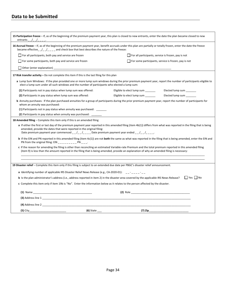| 15 Participation freeze - If, as of the beginning of the premium payment year, this plan is closed to new entrants, enter the date the plan became closed to new                                                                                                                                |                  |                                                                                                                                                                                                                               |                                                                                                                                                                       |
|-------------------------------------------------------------------------------------------------------------------------------------------------------------------------------------------------------------------------------------------------------------------------------------------------|------------------|-------------------------------------------------------------------------------------------------------------------------------------------------------------------------------------------------------------------------------|-----------------------------------------------------------------------------------------------------------------------------------------------------------------------|
| 16 Accrual freeze - If, as of the beginning of the premium payment year, benefit accruals under this plan are partially or totally frozen, enter the date the freeze<br>became effective_ $\frac{1}{2}$ $\frac{1}{2}$ $\frac{1}{2}$ and check box that best describes the nature of the freeze: |                  |                                                                                                                                                                                                                               |                                                                                                                                                                       |
| For all participants, both pay and service are frozen                                                                                                                                                                                                                                           |                  | $\Box$ For all participants, service is frozen, pay is not                                                                                                                                                                    |                                                                                                                                                                       |
| $\Box$ For some participants, both pay and service are frozen                                                                                                                                                                                                                                   |                  |                                                                                                                                                                                                                               | For some participants, service is frozen, pay is not                                                                                                                  |
|                                                                                                                                                                                                                                                                                                 |                  |                                                                                                                                                                                                                               |                                                                                                                                                                       |
| 17 Risk transfer activity $-$ Do not complete this item if this is the last filing for this plan                                                                                                                                                                                                |                  |                                                                                                                                                                                                                               |                                                                                                                                                                       |
| elect a lump sum under all such windows and the number of participants who elected a lump sum:                                                                                                                                                                                                  |                  |                                                                                                                                                                                                                               | a Lump Sum Windows: If the plan provided one or more lump sum windows during the prior premium payment year, report the number of participants eligible to            |
| (1) Participants not in pay status when lump sum was offered:                                                                                                                                                                                                                                   |                  | Eligible to elect lump sum                                                                                                                                                                                                    | Elected lump sum                                                                                                                                                      |
| (2) Participants in pay status when lump sum was offered:                                                                                                                                                                                                                                       |                  | Eligible to elect lump sum                                                                                                                                                                                                    | Elected lump sum ______                                                                                                                                               |
| whom an annuity was purchased:                                                                                                                                                                                                                                                                  |                  |                                                                                                                                                                                                                               | <b>b</b> Annuity purchases: If the plan purchased annuities for a group of participants during the prior premium payment year, report the number of participants for  |
| (1) Participants not in pay status when annuity was purchased:                                                                                                                                                                                                                                  |                  |                                                                                                                                                                                                                               |                                                                                                                                                                       |
|                                                                                                                                                                                                                                                                                                 |                  |                                                                                                                                                                                                                               |                                                                                                                                                                       |
| 18 Amended filing – Complete this item only if this is an amended filing                                                                                                                                                                                                                        |                  |                                                                                                                                                                                                                               |                                                                                                                                                                       |
| amended, provide the dates that were reported in the original filing:                                                                                                                                                                                                                           |                  | Date premium payment year commenced $\frac{1}{2}$ $\frac{1}{2}$ $\frac{1}{2}$ Date premium payment year ended $\frac{1}{2}$ $\frac{1}{2}$ $\frac{1}{2}$ $\frac{1}{2}$ $\frac{1}{2}$ $\frac{1}{2}$ $\frac{1}{2}$ $\frac{1}{2}$ | a If either the first or last day of the premium payment year reported in this amended filing (item 4b(1)) differs from what was reported in the filing that is being |
| PN from the original filing: EIN __________ PN ___.                                                                                                                                                                                                                                             |                  |                                                                                                                                                                                                                               | b If the EIN and PN reported in this amended filing (item 4c(1)) are not both the same as what was reported in the filing that is being amended, enter the EIN and    |
|                                                                                                                                                                                                                                                                                                 |                  | (item 9) is less than the amount reported in the filing that is being amended, provide an explanation of why an amended filing is necessary:                                                                                  | c If the reason for amending the filing is other than reconciling an estimated Variable-rate Premium and the total premium reported in this amended filing            |
| 19 Disaster relief - Complete this item only if this filing is subject to an extended due date per PBGC's disaster relief announcement.                                                                                                                                                         |                  |                                                                                                                                                                                                                               |                                                                                                                                                                       |
|                                                                                                                                                                                                                                                                                                 |                  |                                                                                                                                                                                                                               |                                                                                                                                                                       |
| a Identifying number of applicable IRS Disaster Relief News Release (e.g., CA-2020-01):                                                                                                                                                                                                         |                  |                                                                                                                                                                                                                               |                                                                                                                                                                       |
| <b>b</b> Is the plan administrator's address (i.e., address reported in item 2) in the disaster area covered by the applicable IRS News Release?                                                                                                                                                |                  |                                                                                                                                                                                                                               | $\Box$ Yes $\Box$ No                                                                                                                                                  |
| c Complete this item only if item 19b is "No". Enter the information below as it relates to the person affected by the disaster.                                                                                                                                                                |                  |                                                                                                                                                                                                                               |                                                                                                                                                                       |
|                                                                                                                                                                                                                                                                                                 |                  |                                                                                                                                                                                                                               |                                                                                                                                                                       |
| $(3)$ Address line 1                                                                                                                                                                                                                                                                            |                  |                                                                                                                                                                                                                               |                                                                                                                                                                       |
|                                                                                                                                                                                                                                                                                                 |                  |                                                                                                                                                                                                                               |                                                                                                                                                                       |
|                                                                                                                                                                                                                                                                                                 | (6) State $\_\_$ |                                                                                                                                                                                                                               | $(7)$ Zip                                                                                                                                                             |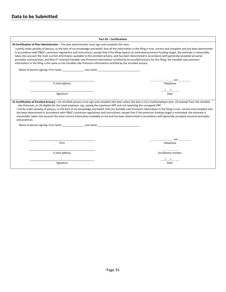| <b>Part VII - Certifications</b>                                                                                                                                                                                                                                                                                                                                                                                                                                                                                                                                                                                                                                                                                                                                                                                            |                                                     |  |
|-----------------------------------------------------------------------------------------------------------------------------------------------------------------------------------------------------------------------------------------------------------------------------------------------------------------------------------------------------------------------------------------------------------------------------------------------------------------------------------------------------------------------------------------------------------------------------------------------------------------------------------------------------------------------------------------------------------------------------------------------------------------------------------------------------------------------------|-----------------------------------------------------|--|
| 20 Certification of Plan Administrator - The plan administrator must sign and complete this item.                                                                                                                                                                                                                                                                                                                                                                                                                                                                                                                                                                                                                                                                                                                           |                                                     |  |
| I certify under penalty of perjury, to the best of my knowledge and belief, that all the information in the filing is true, correct and complete and has been determined<br>in accordance with PBGC's premium regulations and instructions, except that if the filing reports an estimated premium funding target, the estimate is reasonable,<br>takes into account the most current information available to the enrolled actuary, and has been determined in accordance with generally accepted actuarial<br>principles and practices, and that if I received Variable-rate Premium information certified by an enrolled actuary for this filing, the Variable-rate premium<br>information in the filing is the same as the Variable-rate Premium information certified by the enrolled actuary.                         |                                                     |  |
|                                                                                                                                                                                                                                                                                                                                                                                                                                                                                                                                                                                                                                                                                                                                                                                                                             |                                                     |  |
| E-mail address                                                                                                                                                                                                                                                                                                                                                                                                                                                                                                                                                                                                                                                                                                                                                                                                              | _ _ _ -_ _ _ - _ _ _ _ ext _ _ _ _ _ _<br>Telephone |  |
| Signature                                                                                                                                                                                                                                                                                                                                                                                                                                                                                                                                                                                                                                                                                                                                                                                                                   | $- -$ / $- -$ / $-$<br>Date                         |  |
|                                                                                                                                                                                                                                                                                                                                                                                                                                                                                                                                                                                                                                                                                                                                                                                                                             |                                                     |  |
| 21 Certification of Enrolled Actuary - An enrolled actuary must sign and complete this item unless the plan is (1) a multiemployer plan, (2) exempt from the Variable-<br>rate Premium, or (3) eligible for the small employer cap, paying the maximum VRP and not reporting the uncapped VRP.<br>I certify under penalty of perjury, to the best of my knowledge and belief, that the Variable-rate Premium information in the filing is true, correct and complete and<br>has been determined in accordance with PBGC's premium regulations and instructions; except that if the premium funding target is estimated, the estimate is<br>reasonable, takes into account the most current information available to me and has been determined in accordance with generally accepted actuarial principles<br>and practices. |                                                     |  |
|                                                                                                                                                                                                                                                                                                                                                                                                                                                                                                                                                                                                                                                                                                                                                                                                                             |                                                     |  |
|                                                                                                                                                                                                                                                                                                                                                                                                                                                                                                                                                                                                                                                                                                                                                                                                                             | _ _ _ -_ _ _ - _ _ _ _ ext _ _ _ _ _ _              |  |
| Firm                                                                                                                                                                                                                                                                                                                                                                                                                                                                                                                                                                                                                                                                                                                                                                                                                        | Telephone                                           |  |
| E-mail address                                                                                                                                                                                                                                                                                                                                                                                                                                                                                                                                                                                                                                                                                                                                                                                                              | <b>Enrollment number</b>                            |  |
| Signature                                                                                                                                                                                                                                                                                                                                                                                                                                                                                                                                                                                                                                                                                                                                                                                                                   | Date                                                |  |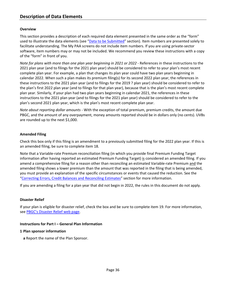# <span id="page-37-0"></span>**Overview**

This section provides a description of each required data element presented in the same order as the "form" used to illustrate the data elements (see ["Data to be Submitted"](#page-32-0) section). Item numbers are presented solely to facilitate understanding. The My PAA screens do not include item numbers. If you are using private-sector software, item numbers may or may not be included. We recommend you review these instructions with a copy of the "form" in front of you.

*Note for plans with more than one plan year beginning in 2021 or 2022 -* References in these instructions to the 2021 plan year (and to filings for the 2021 plan year) should be considered to refer to your plan's most recent complete plan year. For example, a plan that changes its plan year could have two plan years beginning in calendar 2022. When such a plan makes its premium filing(s) for its second 2022 plan year, the references in these instructions to the 2021 plan year (and to filings for the 2019 ? plan year) should be considered to refer to the plan's first 2022 plan year (and to filings for that plan year), because that is the plan's most recent complete plan year. Similarly, if your plan had two plan years beginning in calendar 2021, the references in these instructions to the 2021 plan year (and to filings for the 2021 plan year) should be considered to refer to the plan's second 2021 plan year, which is the plan's most recent complete plan year.

*Note about reporting dollar amounts -* With the exception of total premium, premium credits, the amount due PBGC, and the amount of any overpayment, money amounts reported should be in dollars only (no cents). UVBs are rounded up to the next \$1,000.

# **Amended Filing**

Check this box only if this filing is an amendment to a previously submitted filing for the 2022 plan year. If this is an amended filing, be sure to complete item 18.

Note that a Variable-rate Premium reconciliation filing (in which you provide final Premium Funding Target information after having reported an estimated Premium Funding Target) is considered an amended filing. If you amend a comprehensive filing for a reason other than reconciling an estimated Variable-rate Premium and the amended filing shows a lower premium than the amount that was reported in the filing that is being amended, you must provide an explanation of the specific circumstances or events that caused the reduction. See the ["Correcting Errors, Credit Balances and Reconciling Estimates"](#page-54-0) section for more information.

If you are amending a filing for a plan year that did not begin in 2022, the rules in this document do not apply.

#### **Disaster Relief**

If your plan is eligible for disaster relief, check the box and be sure to complete item 19. For more information, see PBGC's [Disaster Relief web page.](https://www.pbgc.gov/prac/other-guidance/Disaster-Relief)

#### **Instructions for Part I – General Plan Information**

#### **1 Plan sponsor information**

**a** Report the name of the Plan Sponsor.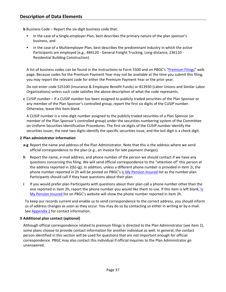**b** Business Code – Report the six-digit business code that:

- In the case of a Single-employer Plan, best describes the primary nature of the plan sponsor's business, and
- In the case of a Multiemployer Plan, best describes the predominant industry in which the active Participants are employed (e.g., 484120 - General Freight Trucking, Long-distance, 236110 - Residential Building Construction).

A list of business codes can be found in the instructions to Form 5500 and on PBGC's ["Premium Filings"](https://www.pbgc.gov/prac/prem/premium-filing-payment-and-instructions) web page. Because codes for the Premium Payment Year may not be available at the time you submit this filing, you may report the relevant code for either the Premium Payment Year or the prior year.

Do not enter code 525100 (Insurance & Employee Benefit Funds) or 813930 (Labor Unions and Similar Labor Organizations) unless such code satisfies the above description of what the code represents.

**c** CUSIP number – If a CUSIP number has been assigned to publicly traded securities of the Plan Sponsor or any member of the Plan Sponsor's controlled group, report the first six digits of the CUSIP number. Otherwise, leave this item blank.

A CUSIP number is a nine-digit number assigned to the publicly traded securities of a Plan Sponsor (or member of the Plan Sponsor's controlled group) under the securities numbering system of the Committee on Uniform Securities Identification Procedures. The first six digits of the CUSIP number identify the securities issuer, the next two digits identify the specific securities issue, and the last digit is a check digit.

# **2 Plan administrator information**

- **a-g** Report the name and address of the Plan Administrator. Note that this is the address where we send official correspondence to the plan (*e.g.*, an invoice for late payment charges).
- **h** Report the name, e-mail address, and phone number of the person we should contact if we have any questions concerning this filing. We will send official correspondence to the "attention of" this person at the address reported in 2(b)-(g). In addition, unless a different phone number is provided in item 2i, the phone number reported in 2h will be posted on PBGC's [Is My Pension Insured](https://www.pbgc.gov/search-all?query=&ipcol=nc&filter=c&tab=ip&ip_type=c&page=1) list as the number plan Participants should call if they have questions about their plan.
- **i** If you would prefer plan Participants with questions about their plan call a phone number other than the one reported in item 2h, report the phone number you would like them to use. If this item is left blank, Is [My Pension Insured](https://www.pbgc.gov/search-all?query=&ipcol=nc&filter=c&tab=ip&ip_type=c&page=1) list on PBGC's website will show the phone number reported in item 2h.

To keep our records current and enable us to send correspondence to the correct address, you should inform us of address changes as soon as they occur. You may do so by contacting us either in writing or by e-mail. See [Appendix 2](#page-62-0) for contact information.

# **3 Additional plan contact (optional)**

Although official correspondence related to premium filings is directed to the Plan Administrator (see item 2), some plans choose to provide contact information for another individual as well. In general, the contact person identified in this section will be used for questions that are not important enough for official correspondence. PBGC may also contact this individual if official inquiries to the Plan Administrator go unanswered.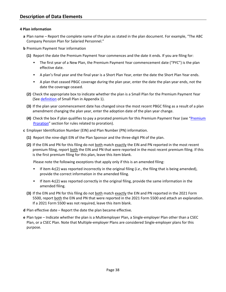# **4 Plan information**

- **a** Plan name Report the complete name of the plan as stated in the plan document. For example, "The ABC Company Pension Plan for Salaried Personnel."
- **b** Premium Payment Year information
	- **(1)** Report the date the Premium Payment Year commences and the date it ends. If you are filing for:
		- The first year of a New Plan, the Premium Payment Year commencement date ("PYC") is the plan effective date.
		- A plan's final year and the final year is a Short Plan Year, enter the date the Short Plan Year ends.
		- A plan that ceased PBGC coverage during the plan year, enter the date the plan year ends, not the date the coverage ceased.
	- **(2)** Check the appropriate box to indicate whether the plan is a Small Plan for the Premium Payment Year (See [definition](#page-61-0) of Small Plan in Appendix 1).
	- **(3)** If the plan year commencement date has changed since the most recent PBGC filing as a result of a plan amendment changing the plan year, enter the adoption date of the plan year change.
	- **(4)** Check the box if plan qualifies to pay a prorated premium for this Premium Payment Year (see ["Premium](#page-23-0)  [Proration"](#page-23-0) section for rules related to proration).
- **c** Employer Identification Number (EIN) and Plan Number (PN) information.
	- **(1)** Report the nine-digit EIN of the Plan Sponsor and the three-digit PN of the plan.
	- **(2)** If the EIN and PN for this filing do not both match exactly the EIN and PN reported in the most recent premium filing, report both the EIN and PN that were reported in the most recent premium filing. If this is the first premium filing for this plan, leave this item blank.

Please note the following exceptions that apply only if this is an amended filing:

- If item 4c(2) was reported incorrectly in the original filing (*i.e.*, the filing that is being amended), provide the correct information in the amended filing.
- If item  $4c(2)$  was reported correctly in the original filing, provide the same information in the amended filing.
- **(3)** If the EIN and PN for this filing do not both match exactly the EIN and PN reported in the 2021 Form 5500, report both the EIN and PN that were reported in the 2021 Form 5500 and attach an explanation. If a 2021 Form 5500 was not required, leave this item blank.
- **d** Plan effective date Report the date the plan became effective.
- **e** Plan type Indicate whether the plan is a Multiemployer Plan, a Single-employer Plan other than a CSEC Plan, or a CSEC Plan. Note that Multiple-employer Plans are considered Single-employer plans for this purpose.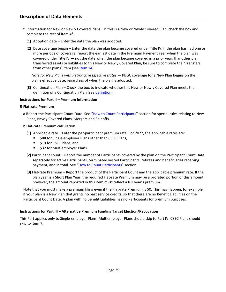- **f** Information for New or Newly Covered Plans If this is a New or Newly Covered Plan, check the box and complete the rest of item 4f.
	- **(1)** Adoption date Enter the date the plan was adopted.
	- **(2)** Date coverage began Enter the date the plan became covered under Title IV. If the plan has had one or more periods of coverage, report the earliest date in the Premium Payment Year when the plan was covered under Title IV — not the date when the plan became covered in a prior year. If another plan transferred assets or liabilities to this New or Newly Covered Plan, be sure to complete the "Transfers from other plans" item (see [item 14\)](#page-46-0).

*Note for New Plans with Retroactive Effective Dates* — PBGC coverage for a New Plan begins on the plan's effective date, regardless of when the plan is adopted.

**(3)** Continuation Plan – Check the box to indicate whether this New or Newly Covered Plan meets the definition of a Continuation Plan (se[e definition\)](#page-58-1).

#### **Instructions for Part II – Premium Information**

#### **5 Flat-rate Premium**

- **a** Report the Participant Count Date. See ["How to Count Participants"](#page-11-0) section for special rules relating to New Plans, Newly Covered Plans, Mergers and Spinoffs.
- **b** Flat-rate Premium calculation
	- **(1)** Applicable rate Enter the per-participant premium rate. For 2022, the applicable rates are:
		- **588 for Single-employer Plans other than CSEC Plans,**
		- **519 for CSEC Plans, and**
		- **532 for Multiemployer Plans.**
	- **(2)** Participant count Report the number of Participants covered by the plan on the Participant Count Date separately for active Participants, terminated vested Participants, retirees and beneficiaries receiving payment, and in total. See ["How to Count Participants"](#page-11-0) section.
	- **(3)** Flat-rate Premium Report the product of the Participant Count and the applicable premium rate. If the plan year is a Short Plan Year, the required Flat-rate Premium may be a prorated portion of this amount; however, the amount reported in this item must reflect a full year's premium.

Note that you must make a premium filing even if the Flat-rate Premium is \$0. This may happen, for example, if your plan is a New Plan that grants no past service credits, so that there are no Benefit Liabilities on the Participant Count Date. A plan with no Benefit Liabilities has no Participants for premium purposes.

#### **Instructions for Part III – Alternative Premium Funding Target Election/Revocation**

<span id="page-40-0"></span>This Part applies only to Single-employer Plans. Multiemployer Plans should skip to Part IV. CSEC Plans should skip to item 7.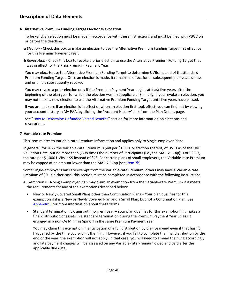#### **6 Alternative Premium Funding Target Election/Revocation**

To be valid, an election must be made in accordance with these instructions and must be filed with PBGC on or before the deadline.

- **a** *Election* Check this box to make an election to use the Alternative Premium Funding Target first effective for this Premium Payment Year.
- **b** *Revocation* Check this box to revoke a prior election to use the Alternative Premium Funding Target that was in effect for the Prior Premium Payment Year.

You may elect to use the Alternative Premium Funding Target to determine UVBs instead of the Standard Premium Funding Target. Once an election is made, it remains in effect for all subsequent plan years unless and until it is subsequently revoked.

You may revoke a prior election only if the Premium Payment Year begins at least five years after the beginning of the plan year for which the election was first applicable. Similarly, if you revoke an election, you may not make a new election to use the Alternative Premium Funding Target until five years have passed.

If you are not sure if an election is in effect or when an election first took effect, you can find out by viewing your account history in My PAA, by clicking the "Account History" link from the Plan Details page.

See ["How to Determine Unfunded Vested Benefits"](#page-15-0) section for more information on elections and revocations.

#### **7 Variable-rate Premium**

This item relates to Variable-rate Premium information and applies only to Single-employer Plans.

In general, for 2022 the Variable-rate Premium is \$48 per \$1,000, or fraction thereof, of UVBs as of the UVB Valuation Date, but no more than \$598 times the number of Participants (i.e., the MAP-21 Cap). For CSECs, the rate per \$1,000 UVBs is \$9 instead of \$48. For certain plans of small employers, the Variable-rate Premium may be capped at an amount lower than the MAP-21 Cap (see *item 7b*).

Some Single-employer Plans are exempt from the Variable-rate Premium; others may have a Variable-rate Premium of \$0. In either case, this section must be completed in accordance with the following instructions.

- **a** Exemptions A Single-employer Plan may claim an exemption from the Variable-rate Premium if it meets the requirements for any of the exemptions described below:
	- New or Newly Covered Small Plans other than Continuation Plans Your plan qualifies for this exemption if it is a New or Newly Covered Plan and a Small Plan, but not a Continuation Plan. See [Appendix 1](#page-58-0) for more information about these terms.
	- Standard termination: closing out in current year Your plan qualifies for this exemption if it makes a final distribution of assets in a standard termination during the Premium Payment Year unless it engaged in a non-De Minimis Spinoff in the same Premium Payment Year

You may claim this exemption in anticipation of a full distribution by plan year-end even if that hasn't happened by the time you submit the filing. However, if you fail to complete the final distribution by the end of the year, the exemption will not apply. In that case, you will need to amend the filing accordingly and late payment charges will be assessed on any Variable-rate Premium owed and paid after the applicable due date.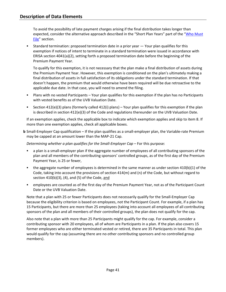To avoid the possibility of late payment charges arising if the final distribution takes longer than expected, consider the alternative approach described in the "Short Plan Years" part of the "Who Must [File"](#page-4-0) section.

 Standard termination: proposed termination date in a prior year — Your plan qualifies for this exemption if notices of intent to terminate in a standard termination were issued in accordance with ERISA section 4041(a)(2), setting forth a proposed termination date before the beginning of the Premium Payment Year.

To qualify for this exemption, it is not necessary that the plan make a final distribution of assets during the Premium Payment Year. However, this exemption is conditioned on the plan's ultimately making a final distribution of assets in full satisfaction of its obligations under the standard termination. If that doesn't happen, the premium that would otherwise have been required will be due retroactive to the applicable due date. In that case, you will need to amend the filing.

- Plans with no vested Participants Your plan qualifies for this exemption if the plan has no Participants with vested benefits as of the UVB Valuation Date.
- Section 412(e)(3) plans (formerly called 412(i) plans) Your plan qualifies for this exemption if the plan is described in section 412(e)(3) of the Code and regulations thereunder on the UVB Valuation Date.

If an exemption applies, check the applicable box to indicate which exemption applies and skip to item 8. If more than one exemption applies, check all applicable boxes.

<span id="page-42-0"></span>**b** Small-Employer Cap qualification – If the plan qualifies as a small-employer plan, the Variable-rate Premium may be capped at an amount lower than the MAP-21 Cap.

*Determining whether a plan qualifies for the Small-Employer Cap - For this purpose:* 

- a plan is a small-employer plan if the aggregate number of employees of all contributing sponsors of the plan and all members of the contributing sponsors' controlled groups, as of the first day of the Premium Payment Year, is 25 or fewer,
- the aggregate number of employees is determined in the same manner as under section 410(b)(1) of the Code, taking into account the provisions of section 414(m) and (n) of the Code, but without regard to section  $410(b)(3)$ ,  $(4)$ , and  $(5)$  of the Code, and
- employees are counted as of the first day of the Premium Payment Year, not as of the Participant Count Date or the UVB Valuation Date.

Note that a plan with 25 or fewer Participants does not necessarily qualify for the Small-Employer Cap because the eligibility criterion is based on employees, not the Participant Count. For example, if a plan has 15 Participants, but there are more than 25 employees (taking into account all employees of all contributing sponsors of the plan and all members of their controlled groups), the plan does not qualify for the cap.

Also note that a plan with more than 25 Participants might qualify for the cap. For example, consider a contributing sponsor with 20 employees, all of whom are Participants in a plan. If the plan also covers 15 former employees who are either terminated vested or retired, there are 35 Participants in total. This plan would qualify for the cap (assuming there are no other contributing sponsors and no controlled group members).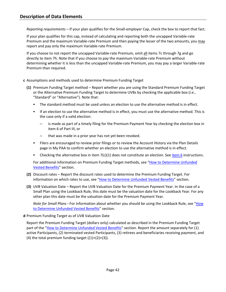*Reporting requirements –* If your plan qualifies for the Small-employer Cap, check the box to report that fact.

If your plan qualifies for this cap, instead of calculating and reporting both the uncapped Variable-rate Premium and the maximum Variable-rate Premium and then paying the lesser of the two amounts, you may report and pay only the maximum Variable-rate Premium.

If you choose to not report the uncapped Variable-rate Premium, omit all items 7c through 7g and go directly to item 7h. Note that if you choose to pay the maximum Variable-rate Premium without determining whether it is less than the uncapped Variable-rate Premium, you may pay a larger Variable-rate Premium than required.

# **c** Assumptions and methods used to determine Premium Funding Target

- **(1)** Premium Funding Target method Report whether you are using the Standard Premium Funding Target or the Alternative Premium Funding Target to determine UVBs by checking the applicable box (*i.e.*, "Standard" or "Alternative"). Note that:
	- The standard method must be used unless an election to use the alternative method is in effect.
	- If an election to use the alternative method is in effect, you must use the alternative method. This is the case only if a valid election:
		- is made as part of a timely filing for the Premium Payment Year by checking the election box in item 6 of Part III, or
		- that was made in a prior year has not yet been revoked.
	- Filers are encouraged to review prior filings or to review the Account History via the Plan Details page in My PAA to confirm whether an election to use the alternative method is in effect.
	- Checking the alternative box in item  $7(c)(1)$  does not constitute an election. See [item 6](#page-40-0) instructions.

For additional information on Premium Funding Target methods, see ["How to Determine Unfunded](#page-15-0)  [Vested Benefits"](#page-15-0) section.

- **(2)** Discount rates Report the discount rates used to determine the Premium Funding Target. For information on which rates to use, see ["How to Determine Unfunded Vested Benefits"](#page-15-0) section.
- **(3)** UVB Valuation Date Report the UVB Valuation Date for the Premium Payment Year. In the case of a Small Plan using the Lookback Rule, this date must be the valuation date for the Lookback Year. For any other plan this date must be the valuation date for the Premium Payment Year.

*Note for Small Plans* **-** For information about whether you should be using the Lookback Rule, see ["How](#page-15-0)  [to Determine Unfunded Vested Benefits"](#page-15-0) section.

**d** Premium Funding Target as of UVB Valuation Date

Report the Premium Funding Target (dollars only) calculated as described in the Premium Funding Target part of the ["How to Determine Unfunded Vested Benefits"](#page-15-0) section. Report the amount separately for (1) active Participants, (2) terminated vested Participants, (3) retirees and beneficiaries receiving payment, and (4) the total premium funding target  $((1)+(2)+(3))$ .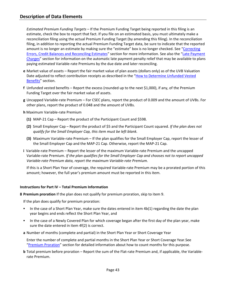*Estimated Premium Funding Targets* – If the Premium Funding Target being reported in this filing is an estimate, check the box to report that fact. If you file on an estimated basis, you must ultimately make a reconciliation filing using the actual Premium Funding Target (by amending this filing). In the reconciliation filing, in addition to reporting the actual Premium Funding Target data, be sure to indicate that the reported amount is no longer an estimate by making sure the "estimate" box is no longer checked. See ["Correcting](#page-54-0)  [Errors, Credit Balances and](#page-54-0) Reconciling Estimates" section for more information. See also the "Late Payment [Charges"](#page-51-0) section for information on the automatic late payment penalty relief that may be available to plans paying estimated Variable-rate Premiums by the due date and later reconciling.

- **e** Market value of assets Report the fair market value of plan assets (dollars only) as of the UVB Valuation Date adjusted to reflect contribution receipts as described in the ["How to Determine Unfunded Vested](#page-15-0)  [Benefits"](#page-15-0) section.
- **f** Unfunded vested benefits Report the excess (rounded up to the next \$1,000), if any, of the Premium Funding Target over the fair market value of assets.
- **g** Uncapped Variable-rate Premium For CSEC plans, report the product of 0.009 and the amount of UVBs. For other plans, report the product of 0.048 and the amount of UVBs.
- **h** Maximum Variable-rate Premium
	- **(1)** MAP-21 Cap Report the product of the Participant Count and \$598.
	- **(2)** Small Employer Cap Report the product of \$5 and the Participant Count squared. *If the plan does not qualify for the Small Employer Cap, this item must be left blank.*
	- **(3)** Maximum Variable-rate Premium If the plan qualifies for the Small Employer Cap, report the lesser of the Small Employer Cap and the MAP-21 Cap. Otherwise, report the MAP-21 Cap.
- **i** Variable-rate Premium Report the lesser of the maximum Variable-rate Premium and the uncapped Variable-rate Premium. *If the plan qualifies for the Small Employer Cap and chooses not to report uncapped Variable-rate Premium data, report the maximum Variable-rate Premium.*

If this is a Short Plan Year of coverage, the required Variable-rate Premium may be a prorated portion of this amount; however, the full year's premium amount must be reported in this item.

#### **Instructions for Part IV – Total Premium Information**

**8 Premium proration** If the plan does not qualify for premium proration, skip to item 9.

If the plan does qualify for premium proration:

- In the case of a Short Plan Year, make sure the dates entered in item 4b(1) regarding the date the plan year begins and ends reflect the Short Plan Year, and
- In the case of a Newly Covered Plan for which coverage began after the first day of the plan year, make sure the date entered in item 4f(2) is correct.
- **a** Number of months (complete and partial) in the Short Plan Year or Short Coverage Year

Enter the number of complete and partial months in the Short Plan Year or Short Coverage Year.See ["Premium Proration"](#page-23-0) section for detailed information about how to count months for this purpose.

**b** Total premium before proration – Report the sum of the Flat-rate Premium and, if applicable, the Variablerate Premium.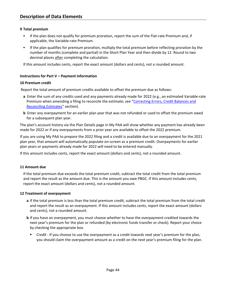# **9 Total premium**

- If the plan does not qualify for premium proration, report the sum of the Flat-rate Premium and, if applicable, the Variable-rate Premium.
- If the plan qualifies for premium proration, multiply the total premium before reflecting proration by the number of months (complete and partial) in the Short Plan Year and then divide by 12. Round to two decimal places after completing the calculation.

If this amount includes cents, report the exact amount (dollars and cents), not a rounded amount.

# **Instructions for Part V – Payment Information**

#### **10 Premium credit**

Report the total amount of premium credits available to offset the premium due as follows:

- **a** Enter the sum of any credits used and any payments already made for 2022 (e.g., an estimated Variable-rate Premium when amending a filing to reconcile the estimate; see ["Correcting Errors, Credit Balances](#page-54-0) and [Reconciling Estimates"](#page-54-0) section).
- **b** Enter any overpayment for an earlier plan year that was not refunded or used to offset the premium owed for a subsequent plan year.

The plan's account history via the Plan Details page in My PAA will show whether any payment has already been made for 2022 or if any overpayments from a prior year are available to offset the 2022 premium.

If you are using My PAA to prepare the 2022 filing and a credit is available due to an overpayment for the 2021 plan year, that amount will automatically populate on-screen as a premium credit. Overpayments for earlier plan years or payments already made for 2022 will need to be entered manually.

If this amount includes cents, report the exact amount (dollars and cents), not a rounded amount.

#### **11 Amount due**

If the total premium due exceeds the total premium credit, subtract the total credit from the total premium and report the result as the amount due. This is the amount you owe PBGC. If this amount includes cents, report the exact amount (dollars and cents), not a rounded amount.

#### **12 Treatment of overpayment**

- **a** If the total premium is less than the total premium credit, subtract the total premium from the total credit and report the result as an overpayment. If this amount includes cents, report the exact amount (dollars and cents), not a rounded amount.
- **b** If you have an overpayment, you must choose whether to have the overpayment credited towards the next year's premium for the plan or refunded (by electronic funds transfer or check). Report your choice by checking the appropriate box.
	- *Credit -* If you choose to use the overpayment as a credit towards next year's premium for the plan, you should claim the overpayment amount as a credit on the next year's premium filing for the plan.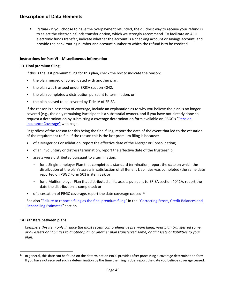*Refund* - If you choose to have the overpayment refunded, the quickest way to receive your refund is to select the electronic funds transfer option, which we strongly recommend. To facilitate an ACH electronic funds transfer, indicate whether the account is a checking account or savings account, and provide the bank routing number and account number to which the refund is to be credited.

# **Instructions for Part VI – Miscellaneous Information**

#### **13 Final premium filing**

If this is the last premium filing for this plan, check the box to indicate the reason:

- the plan merged or consolidated with another plan,
- the plan was trusteed under ERISA section 4042,
- the plan completed a distribution pursuant to termination, or
- the plan ceased to be covered by Title IV of ERISA.

If the reason is a cessation of coverage, include an explanation as to why you believe the plan is no longer covered (e.g., the only remaining Participant is a substantial owner), and if you have not already done so, request a determination by submitting a coverage determination form available on PBGC's "Pension [Insurance Coverage"](https://www.pbgc.gov/prac/other-guidance/insurance-coverage) web page.

Regardless of the reason for this being the final filing, report the date of the event that led to the cessation of the requirement to file. If the reason this is the last premium filing is because:

- of a Merger or Consolidation, report the effective date of the Merger or Consolidation;
- of an involuntary or distress termination, report the effective date of the trusteeship;
- assets were distributed pursuant to a termination:
	- for a Single-employer Plan that completed a standard termination, report the date on which the distribution of the plan's assets in satisfaction of all Benefit Liabilities was completed (the same date reported on PBGC Form 501 in item 3a), or
	- for a Multiemployer Plan that distributed all its assets pursuant to ERISA section 4041A, report the date the distribution is completed; or
- $\blacksquare$  of a cessation of PBGC coverage, report the date coverage ceased.<sup>[17](#page-46-1)</sup>

See also ["Failure to report a filing as the final premium filing"](#page-54-1) in the ["Correcting Errors, Credit Balances and](#page-54-0)  [Reconciling Estimates"](#page-54-0) section.

#### <span id="page-46-0"></span>**14 Transfers between plans**

*Complete this item only if, since the most recent comprehensive premium filing, your plan transferred some, or all assets or liabilities to another plan or another plan transferred some, or all assets or liabilities to your plan*.

<span id="page-46-1"></span> $17$  In general, this date can be found on the determination PBGC provides after processing a coverage determination form. If you have not received such a determination by the time the filing is due, report the date you believe coverage ceased.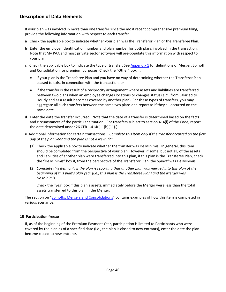If your plan was involved in more than one transfer since the most recent comprehensive premium filing, provide the following information with respect to each transfer.

- **a** Check the applicable box to indicate whether your plan was the Transferor Plan or the Transferee Plan.
- **b** Enter the employer identification number and plan number for both plans involved in the transaction. Note that My PAA and most private sector software will pre-populate this information with respect to your plan**.**
- **c** Check the applicable box to indicate the type of transfer. See [Appendix 1](#page-58-0) for definitions of Merger, Spinoff, and Consolidation for premium purposes. Check the "Other" box if:
	- If your plan is the Transferee Plan and you have no way of determining whether the Transferor Plan ceased to exist in connection with the transaction, or
	- If the transfer is the result of a reciprocity arrangement where assets and liabilities are transferred between two plans when an employee changes locations or changes status (*e.g.*, from Salaried to Hourly and as a result becomes covered by another plan). For these types of transfers, you may aggregate all such transfers between the same two plans and report as if they all occurred on the same date.
- **d** Enter the date the transfer occurred. Note that the date of a transfer is determined based on the facts and circumstances of the particular situation. (For transfers subject to section 414(l) of the Code, report the date determined under 26 CFR 1.414(l)-1(b)(11).)
- **e** Additional information for certain transactions. *Complete this item only if the transfer occurred on the first day of the plan year and the plan is not a New Plan*
	- (1) Check the applicable box to indicate whether the transfer was De Minimis. In general, this item should be completed from the perspective of your plan. However, if some, but not all, of the assets and liabilities of another plan were transferred into this plan, if this plan is the Transferee Plan, check the "De Minimis" box if, from the perspective of the Transferor Plan, the Spinoff was De Minimis.
	- (2) *Complete this item only if the plan is reporting that another plan was merged into this plan at the beginning of this plan's plan year (i.e., this plan is the Transferee Plan) and the Merger was De Minimis.*

Check the "yes" box if this plan's assets, immediately before the Merger were less than the total assets transferred to this plan in the Merger.

The section on ["Spinoffs, Mergers and Consolidations"](#page-26-0) contains examples of how this item is completed in various scenarios.

# **15 Participation freeze**

If, as of the beginning of the Premium Payment Year, participation is limited to Participants who were covered by the plan as of a specified date (i.e., the plan is closed to new entrants), enter the date the plan became closed to new entrants.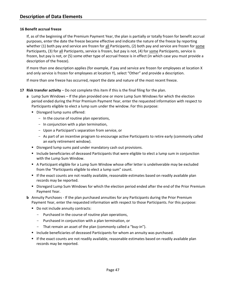# **16 Benefit accrual freeze**

If, as of the beginning of the Premium Payment Year, the plan is partially or totally frozen for benefit accrual purposes, enter the date the freeze became effective and indicate the nature of the freeze by reporting whether (1) both pay and service are frozen for all Participants, (2) both pay and service are frozen for some Participants, (3) for all Participants, service is frozen, but pay is not, (4) for some Participants, service is frozen, but pay is not, or (5) some other type of accrual freeze is in effect (in which case you must provide a description of the freeze).

If more than one description applies (for example, if pay and service are frozen for employees at location X and only service is frozen for employees at location Y), select "Other" and provide a description.

If more than one freeze has occurred, report the date and nature of the most recent freeze.

- **17 Risk transfer activity**  Do not complete this item if this is the final filing for the plan.
	- **a** Lump Sum Windows If the plan provided one or more Lump Sum Windows for which the election period ended during the Prior Premium Payment Year, enter the requested information with respect to Participants eligible to elect a lump sum under the window. For this purpose:
		- Disregard lump sums offered:
			- In the course of routine plan operations,
			- In conjunction with a plan termination,
			- Upon a Participant's separation from service, or
			- As part of an incentive program to encourage active Participants to retire early (commonly called an early retirement window).
		- **Disregard lump sums paid under mandatory cash out provisions.**
		- Include beneficiaries of deceased Participants that were eligible to elect a lump sum in conjunction with the Lump Sum Window.
		- A Participant eligible for a Lump Sum Window whose offer letter is undeliverable may be excluded from the "Participants eligible to elect a lump sum" count.
		- If the exact counts are not readily available, reasonable estimates based on readily available plan records may be reported.
		- **Disregard Lump Sum Windows for which the election period ended after the end of the Prior Premium** Payment Year.
	- **b** Annuity Purchases If the plan purchased annuities for any Participants during the Prior Premium Payment Year, enter the requested information with respect to those Participants. For this purpose:
		- Do not include annuity contracts:
			- Purchased in the course of routine plan operations,
			- Purchased in conjunction with a plan termination, or
			- That remain an asset of the plan (commonly called a "buy-in").
		- **Include beneficiaries of deceased Participants for whom an annuity was purchased.**
		- If the exact counts are not readily available, reasonable estimates based on readily available plan records may be reported.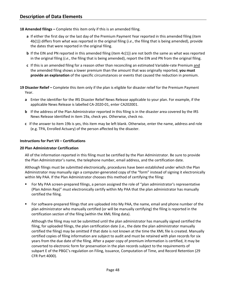# **18 Amended filings –** Complete this item only if this is an amended filing.

- **a** If either the first day or the last day of the Premium Payment Year reported in this amended filing (item 4b(1)) differs from what was reported in the original filing (*i.e*., the filing that is being amended), provide the dates that were reported in the original filing.
- **b** If the EIN and PN reported in this amended filing (item 4c(1)) are not both the same as what was reported in the original filing (*i.e*., the filing that is being amended), report the EIN and PN from the original filing.
- **c** If this is an amended filing for a reason other than reconciling an estimated Variable-rate Premium and the amended filing shows a lower premium than the amount that was originally reported, **you must provide an explanation** of the specific circumstances or events that caused the reduction in premium.

**19 Disaster Relief –** Complete this item only if the plan is eligible for disaster relief for the Premium Payment Year.

- **a** Enter the identifier for the IRS Disaster Relief News Release applicable to your plan. For example, if the applicable News Release is labelled CA-2020-01, enter CA202001.
- **b** If the address of the Plan Administrator reported in this filing is in the disaster area covered by the IRS News Release identified in item 19a, check yes. Otherwise, check no.
- **c** If the answer to item 19b is yes, this item may be left blank. Otherwise, enter the name, address and role (e.g. TPA, Enrolled Actuary) of the person affected by the disaster.

# **Instructions for Part VII – Certifications**

#### **20 Plan Administrator Certification**

All of the information reported in this filing must be certified by the Plan Administrator. Be sure to provide the Plan Administrator's name, the telephone number, email address, and the certification date.

Although filings must be submitted electronically, procedures have been established under which the Plan Administrator may manually sign a computer-generated copy of the "form" instead of signing it electronically within My PAA. If the Plan Administrator chooses this method of certifying the filing:

- For My PAA screen-prepared filings, a person assigned the role of "plan administrator's representative (Plan Admin Rep)" must electronically certify within My PAA that the plan administrator has manually certified the filing.
- For software-prepared filings that are [uploaded into My PAA,](https://www.pbgc.gov/prac/prem/online-premium-filing-with-my-paa/premium-e-filing-options.html#Option3) the name, email and phone number of the plan administrator who manually certified (or will be manually certifying) the filing is reported in the certification section of the filing (within the XML filing data).

Although the filing may not be submitted until the plan administrator has manually signed certified the filing, for uploaded filings, the plan certification date (i.e., the date the plan administrator manually certified the filing) may be omitted if that date is not known at the time the XML file is created. Manually certified copies of filing information are subject to audit and must be retained with plan records for six years from the due date of the filing. After a paper copy of premium information is certified, it may be converted to electronic form for preservation in the plan records subject to the requirements of subpart E of the PBGC's regulation on Filing, Issuance, Computation of Time, and Record Retention (29 CFR Part 4000).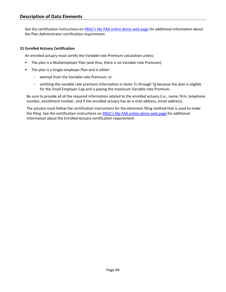See the certification instructions on [PBGC's My PAA online demo web page](https://www.pbgc.gov/prac/prem/online-premium-filing-with-my-paa/my-paa-online-demonstrations) for additional information about the Plan Administrator certification requirement.

# **21 Enrolled Actuary Certification**

An enrolled actuary must certify the Variable-rate Premium calculation unless:

- **The plan is a Multiemployer Plan (and thus, there is no Variable-rate Premium).**
- **The plan is a Single-employer Plan and is either:** 
	- exempt from the Variable-rate Premium, or
	- omitting the variable rate premium information in items 7c through 7g because the plan is eligible for the Small Employer Cap and is paying the maximum Variable-rate Premium.

Be sure to provide all of the required information related to the enrolled actuary (i.e., name, firm, telephone number, enrollment number, and if the enrolled actuary has an e-mail address, email address).

The actuary must follow the certification instructions for the electronic filing method that is used to make the filing. See the certification instructions on [PBGC's My PAA online demo web page](https://www.pbgc.gov/prac/prem/online-premium-filing-with-my-paa/my-paa-online-demonstrations) for additional information about the Enrolled Actuary certification requirement.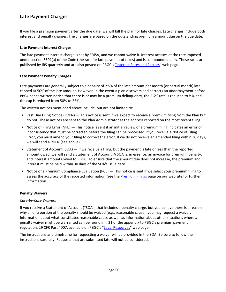<span id="page-51-0"></span>If you file a premium payment after the due date, we will bill the plan for late charges. Late charges include both interest and penalty charges. The charges are based on the outstanding premium amount due on the due date.

# **Late Payment Interest Charges**

The late payment interest charge is set by ERISA, and we cannot waive it. Interest accrues at the rate imposed under section 6601(a) of the Code (the rate for late payment of taxes) and is compounded daily. These rates are published by IRS quarterly and are also posted on PBGC's ["Interest Rates and Factors"](https://www.pbgc.gov/prac/interest) web page.

# **Late Payment Penalty Charges**

Late payments are generally subject to a penalty of 2½% of the late amount per month (or partial month) late, capped at 50% of the late amount. However, in the event a plan discovers and corrects an underpayment before PBGC sends written notice that there is or may be a premium delinquency, the 2½% rate is reduced to ½% and the cap is reduced from 50% to 25%.

The written notices mentioned above include, but are not limited to:

- Past Due Filing Notice (PDFN) This notice is sent if we expect to receive a premium filing from the Plan but do not. These notices are sent to the Plan Administrator at the address reported on the most recent filing.
- Notice of Filing Error (NFE) This notice is sent if an initial review of a premium filing indicates an error or inconsistency that must be corrected before the filing can be processed. If you receive a Notice of Filing Error, you must amend your filing to correct the error. If we do not receive an amended filing within 30 days, we will send a PDFN (see above).
- Statement of Account (SOA)  $-$  If we receive a filing, but the payment is late or less than the reported amount owed, we will send a Statement of Account. A SOA is, in essence, an invoice for premium, penalty, and interest amounts owed to PBGC. To ensure that the amount due does not increase, the premium and interest must be paid within 30 days of the SOA's issue date.
- Notice of a Premium Compliance Evaluation (PCE) This notice is sent if we select your premium filing to assess the accuracy of the reported information. See the [Premium Filings](https://www.pbgc.gov/prac/prem) page on our web site for further information.

#### **Penalty Waivers**

#### *Case-by-Case Waivers*

If you receive a Statement of Account ("SOA") that includes a penalty charge, but you believe there is a reason why all or a portion of the penalty should be waived (e.g., reasonable cause), you may request a waiver. Information about what constitutes reasonable cause as well as information about other situations where a penalty waiver might be warranted can be found in § 21 of the appendix to PBGC's premium payment regulation, 29 CFR Part 4007, available on PBGC's ["Legal Resources"](https://www.pbgc.gov/prac/laws-and-regulations) web page.

The instructions and timeframe for requesting a waiver will be provided in the SOA. Be sure to follow the instructions carefully. Requests that are submitted late will not be considered.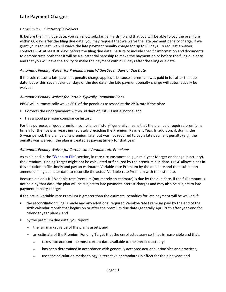# *Hardship (i.e., "Statutory") Waivers*

If, before the filing due date, you can show substantial hardship and that you will be able to pay the premium within 60 days after the filing due date, you may request that we waive the late payment penalty charge. If we grant your request, we will waive the late payment penalty charge for up to 60 days. To request a waiver, contact PBGC at least 30 days before the filing due date. Be sure to include specific information and documents to demonstrate both that it will be a substantial hardship to make the payment on or before the filing due date and that you will have the ability to make the payment within 60 days after the filing due date.

# *Automatic Penalty Waiver for Premiums paid Within Seven Days of Due Date*

If the sole reason a late payment penalty charge applies is because a premium was paid in full after the due date, but within seven calendar days of the due date, the late payment penalty charge will automatically be waived.

#### <span id="page-52-0"></span>*Automatic Penalty Waiver for Certain Typically Compliant Plans*

PBGC will automatically waive 80% of the penalties assessed at the 2½% rate if the plan:

- Corrects the underpayment within 30 days of PBGC's initial notice, and
- Has a good premium compliance history.

For this purpose, a "good premium compliance history" generally means that the plan paid required premiums timely for the five plan years immediately preceding the Premium Payment Year. In addition, if, during the 5 -year period, the plan paid its premium late, but was not required to pay a late payment penalty (e.g., the penalty was waived), the plan is treated as paying timely for that year.

#### *Automatic Penalty Waiver for Certain Late Variable-rate Premiums*

As explained in the ["When to File"](#page-6-0) section, in rare circumstances (e.g., a mid-year Merger or change in actuary), the Premium Funding Target might not be calculated or finalized by the premium due date. PBGC allows plans in this situation to file timely and pay an estimated Variable-rate Premium by the due date and then submit an amended filing at a later date to reconcile the actual Variable-rate Premium with the estimate.

Because a plan's full Variable-rate Premium (not merely an estimate) is due by the due date, if the full amount is not paid by that date, the plan will be subject to late payment interest charges and may also be subject to late payment penalty charges.

If the actual Variable-rate Premium is greater than the estimate, penalties for late payment will be waived if:

- the reconciliation filing is made and any additional required Variable-rate Premium paid by the end of the sixth calendar month that begins on or after the premium due date (generally April 30th after year-end for calendar year plans), and
- by the premium due date, you report:
	- the fair market value of the plan's assets, and
	- an estimate of the Premium Funding Target that the enrolled actuary certifies is reasonable and that:
		- $\circ$  takes into account the most current data available to the enrolled actuary;
		- $\circ$  has been determined in accordance with generally accepted actuarial principles and practices;
		- $\circ$  uses the calculation methodology (alternative or standard) in effect for the plan year; and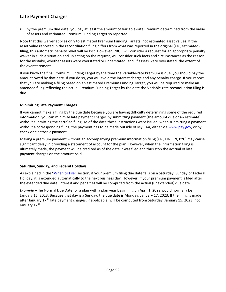by the premium due date, you pay at least the amount of Variable-rate Premium determined from the value of assets and estimated Premium Funding Target so reported.

Note that this waiver applies only to estimated Premium Funding Targets, not estimated asset values. If the asset value reported in the reconciliation filing differs from what was reported in the original (i.e., estimated) filing, this automatic penalty relief will be lost. However, PBGC will consider a request for an appropriate penalty waiver in such a situation and, in acting on the request, will consider such facts and circumstances as the reason for the mistake, whether assets were overstated or understated, and, if assets were overstated, the extent of the overstatement.

If you know the final Premium Funding Target by the time the Variable-rate Premium is due, you should pay the amount owed by that date. If you do so, you will avoid the interest charge and any penalty charge. If you report that you are making a filing based on an estimated Premium Funding Target, you will be required to make an amended filing reflecting the actual Premium Funding Target by the date the Variable-rate reconciliation filing is due.

# **Minimizing Late Payment Charges**

If you cannot make a filing by the due date because you are having difficulty determining some of the required information, you can minimize late payment charges by submitting payment (the amount due or an estimate) without submitting the certified filing. As of the date these instructions were issued, when submitting a payment without a corresponding filing, the payment has to be made outside of My PAA, either via [www.pay.gov,](http://www.pay.gov/) or by check or electronic payment.

Making a premium payment without an accompanying premium information filing (i.e., EIN, PN, PYC) may cause significant delay in providing a statement of account for the plan. However, when the information filing is ultimately made, the payment will be credited as of the date it was filed and thus stop the accrual of late payment charges on the amount paid.

# **Saturday, Sunday, and Federal Holidays**

As explained in the ["When to File"](#page-6-0) section, if your premium filing due date falls on a Saturday, Sunday or Federal Holiday, it is extended automatically to the next business day. However, if your premium payment is filed after the extended due date, interest and penalties will be computed from the actual (unextended) due date.

*Example* **–**The Normal Due Date for a plan with a plan year beginning on April 1, 2022 would normally be January 15, 2023. Because that day is a Sunday, the due date is Monday, January 17, 2023. If the filing is made after January 17<sup>th</sup> late payment charges, if applicable, will be computed from Saturday, January 15, 2023, not January 17<sup>th</sup>.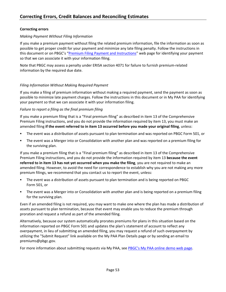# <span id="page-54-0"></span>**Correcting errors**

# *Making Payment Without Filing Information*

If you make a premium payment without filing the related premium information, file the information as soon as possible to get proper credit for your payment and minimize any late filing penalty. Follow the instructions in this document or on PBGC's ["Premium Filing Payment and Instructions"](https://www.pbgc.gov/prac/prem/premium-filing-payment-and-instructions) web page for identifying your payment so that we can associate it with your information filing.

Note that PBGC may assess a penalty under ERISA section 4071 for failure to furnish premium-related information by the required due date.

# *Filing Information Without Making Required Payment*

If you make a filing of premium information without making a required payment, send the payment as soon as possible to minimize late payment charges. Follow the instructions in this document or in My PAA for identifying your payment so that we can associate it with your information filing.

# <span id="page-54-1"></span>*Failure to report a filing as the final premium filing*

If you make a premium filing that is a "Final premium filing" as described in item 13 of the Comprehensive Premium Filing instructions, and you do not provide the information required by item 13, you must make an amended filing **if the event referred to in item 13 occurred before you made your original filing**, unless:

- The event was a distribution of assets pursuant to plan termination and was reported on PBGC Form 501, or
- The event was a Merger into or Consolidation with another plan and was reported on a premium filing for the surviving plan.

If you make a premium filing that is a "Final premium filing" as described in item 13 of the Comprehensive Premium Filing instructions, and you do not provide the information required by item 13 **because the event referred to in item 13 has not yet occurred when you make the filing**, you are not required to make an amended filing. However, to avoid the need for correspondence to establish why you are not making any more premium filings, we recommend that you contact us to report the event, unless:

- The event was a distribution of assets pursuant to plan termination and is being reported on PBGC Form 501, or
- The event was a Merger into or Consolidation with another plan and is being reported on a premium filing for the surviving plan.

Even if an amended filing is not required, you may want to make one where the plan has made a distribution of assets pursuant to plan termination, because that event may enable you to reduce the premium through proration and request a refund as part of the amended filing.

Alternatively, because our system automatically prorates premiums for plans in this situation based on the information reported on PBGC Form 501 and updates the plan's statement of account to reflect any overpayment, in lieu of submitting an amended filing, you may request a refund of such overpayment by utilizing the "Submit Request" link available on the My PAA Plan Details page or by sending an email to premiums@pbgc.gov.

For more information about submitting requests via My PAA, see [PBGC's My PAA online demo web page.](https://www.pbgc.gov/prac/prem/online-premium-filing-with-my-paa/my-paa-online-demonstrations)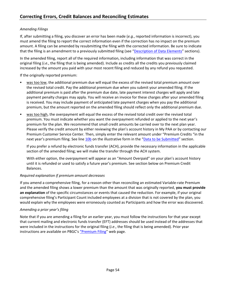# *Amending Filings*

If, after submitting a filing, you discover an error has been made (*e.g.*, reported information is incorrect), you must amend the filing to report the correct information even if the correction has no impact on the premium amount. A filing can be amended by resubmitting the filing with the corrected information. Be sure to indicate that the filing is an amendment to a previously submitted filing (see ["Description of Data Elements"](#page-37-0) sections).

In the amended filing, report all of the required information, including information that was correct in the original filing (*i.e*., the filing that is being amended). Include as credits all the credits you previously claimed increased by the amount you paid with your most recent filing and reduced by any refund you requested.

If the originally reported premium:

- was too low, the additional premium due will equal the excess of the revised total premium amount over the revised total credit. Pay the additional premium due when you submit your amended filing. If the additional premium is paid after the premium due date, late payment interest charges will apply and late payment penalty charges may apply. You will receive an invoice for these charges after your amended filing is received. You may include payment of anticipated late payment charges when you pay the additional premium, but the amount reported on the amended filing should reflect only the additional premium due.
- was too high, the overpayment will equal the excess of the revised total credit over the revised total premium. You must indicate whether you want the overpayment refunded or applied to the next year's premium for the plan. We recommend that small credit amounts be carried over to the next plan year. Please verify the credit amount by either reviewing the plan's account history in My PAA or by contacting our Premium Customer Service Center. Then, simply enter the relevant amount under "Premium Credits "in the next year's premium filing. See line 10b on the illustrative form in the ["Data to be Submitted"](#page-32-0) section.

If you prefer a refund by electronic funds transfer (ACH), provide the necessary information in the applicable section of the amended filing; we will make the transfer through the ACH system.

With either option, the overpayment will appear as an "Amount Overpaid" on your plan's account history until it is refunded or used to satisfy a future year's premium. See section below on Premium Credit Balances.

# *Required explanation if premium amount decreases*

If you amend a comprehensive filing, for a reason other than reconciling an estimated Variable-rate Premium and the amended filing shows a lower premium than the amount that was originally reported, **you must provide an explanation** of the specific circumstances or events that caused the reduction. For example, if your original comprehensive filing's Participant Count included employees at a division that is not covered by the plan, you would explain why the employees were erroneously counted as Participants and how the error was discovered.

# *Amending a prior year's filing*

Note that if you are amending a filing for an earlier year, you must follow the instructions for that year except that current mailing and electronic funds transfer (EFT) addresses should be used instead of the addresses that were included in the instructions for the original filing (*i.e*., the filing that is being amended). Prior year instructions are available on PBGC's ["Premium Filing"](https://www.pbgc.gov/prac/prem/premium-filing-payment-and-instructions) web page.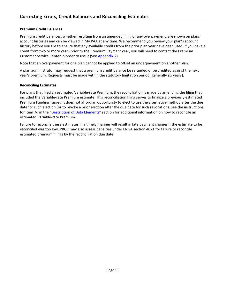# **Premium Credit Balances**

Premium credit balances, whether resulting from an amended filing or any overpayment, are shown on plans' account histories and can be viewed in My PAA at any time. We recommend you review your plan's account history before you file to ensure that any available credits from the prior plan year have been used. If you have a credit from two or more years prior to the Premium Payment year, you will need to contact the Premium Customer Service Center in order to use it (Se[e Appendix 2\)](#page-62-0).

Note that an overpayment for one plan cannot be applied to offset an underpayment on another plan.

A plan administrator may request that a premium credit balance be refunded or be credited against the next year's premium. Requests must be made within the statutory limitation period (generally six years).

#### **Reconciling Estimates**

For plans that filed an estimated Variable-rate Premium, the reconciliation is made by amending the filing that included the Variable-rate Premium estimate. This reconciliation filing serves to finalize a previously estimated Premium Funding Target; it does not afford an opportunity to elect to use the alternative method after the due date for such election (or to revoke a prior election after the due date for such revocation). See the instructions for item 7d in the ["Description of Data Elements"](#page-37-0) section for additional information on how to reconcile an estimated Variable-rate Premium.

Failure to reconcile these estimates in a timely manner will result in late payment charges if the estimate to be reconciled was too low. PBGC may also assess penalties under ERISA section 4071 for failure to reconcile estimated premium filings by the reconciliation due date.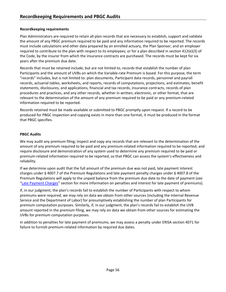# <span id="page-57-0"></span>**Recordkeeping requirements**

Plan Administrators are required to retain all plan records that are necessary to establish, support and validate the amount of any PBGC premium required to be paid and any information required to be reported. The records must include calculations and other data prepared by an enrolled actuary, the Plan Sponsor, and an employer required to contribute to the plan with respect to its employees; or for a plan described in section 412(e)(3) of the Code, by the insurer from which the insurance contracts are purchased. The records must be kept for six years after the premium due date.

Records that must be retained include, but are not limited to, records that establish the number of plan Participants and the amount of UVBs on which the Variable-rate Premium is based. For this purpose, the term "records" includes, but is not limited to: plan documents, Participant data records, personnel and payroll records, actuarial tables, worksheets, and reports, records of computations, projections, and estimates, benefit statements, disclosures, and applications, financial and tax records, insurance contracts, records of plan procedures and practices, and any other records, whether in written, electronic, or other format, that are relevant to the determination of the amount of any premium required to be paid or any premium-related information required to be reported.

Records retained must be made available or submitted to PBGC promptly upon request. If a record to be produced for PBGC inspection and copying exists in more than one format, it must be produced in the format that PBGC specifies.

# **PBGC Audits**

We may audit any premium filing; inspect and copy any records that are relevant to the determination of the amount of any premium required to be paid and any premium-related information required to be reported; and require disclosure and demonstration of any system used to determine any premium required to be paid or premium-related information required to be reported, so that PBGC can assess the system's effectiveness and reliability.

If we determine upon audit that the full amount of the premium due was not paid, late payment interest charges under § 4007.7 of the Premium Regulations and late payment penalty charges under § 4007.8 of the Premium Regulations will apply to the unpaid balance from the premium due date to the date of payment (see ["Late Payment Charges"](#page-51-0) section for more information on penalties and interest for late payment of premiums).

If, in our judgment, the plan's records fail to establish the number of Participants with respect to whom premiums were required, we may rely on data we obtain from other sources (including the Internal Revenue Service and the Department of Labor) for presumptively establishing the number of plan Participants for premium computation purposes. Similarly, if, in our judgment, the plan's records fail to establish the UVB amount reported in the premium filing, we may rely on data we obtain from other sources for estimating the UVBs for premium computation purposes.

In addition to penalties for late payment of premiums, we may assess a penalty under ERISA section 4071 for failure to furnish premium-related information by required due dates.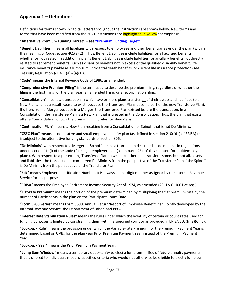# **Appendix 1 – Definitions**

<span id="page-58-0"></span>Definitions for terms shown in capital letters throughout the instructions are shown below. New terms and terms that have been modified from the 2021 instructions are **highlighted in yellow** for emphasis.

#### **"Alternative Premium Funding Target" – see ["Premium Funding Target"](#page-60-0)**

**"Benefit Liabilities"** means all liabilities with respect to employees and their beneficiaries under the plan (within the meaning of Code section 401(a)(2)). Thus, Benefit Liabilities include liabilities for all accrued benefits, whether or not vested. In addition, a plan's Benefit Liabilities include liabilities for ancillary benefits not directly related to retirement benefits, such as disability benefits not in excess of the qualified disability benefit, life insurance benefits payable as a lump sum, incidental death benefits, or current life insurance protection (see Treasury Regulation  $\S$  1.411(a)-7(a)(1)).

"**Code**" means the Internal Revenue Code of 1986, as amended.

**"Comprehensive Premium Filing"** is the term used to describe the premium filing, regardless of whether the filing is the first filing for the plan year, an amended filing, or a reconciliation filing.

"**Consolidation**" means a transaction in which two or more plans transfer all of their assets and liabilities to a New Plan and, as a result, cease to exist (because the Transferor Plans become part of the new Transferee Plan). It differs from a Merger because in a Merger, the Transferee Plan existed before the transaction. In a Consolidation, the Transferee Plan is a New Plan that is created in the Consolidation. Thus, the plan that exists after a Consolidation follows the premium filing rules for New Plans.

<span id="page-58-1"></span>"**Continuation Plan**" means a New Plan resulting from a Consolidation or Spinoff that is not De Minimis.

**"CSEC Plan**" means a cooperative and small-employer charity plan (as defined in section 210(f)(1) of ERISA) that is subject to the alternative funding standards of section 306.

**"De Minimis"** with respect to a Merger or Spinoff means a transaction described as de minimis in regulations under section 414(l) of the Code (for single-employer plans) or in part 4231 of this chapter (for multiemployer plans). With respect to a pre-existing Transferee Plan to which another plan transfers, some, but not all, assets and liabilities, the transaction is considered De Minimis from the perspective of the Transferee Plan if the Spinoff is De Minimis from the perspective of the Transferor Plan.

"**EIN**" means Employer Identification Number. It is always a nine-digit number assigned by the Internal Revenue Service for tax purposes.

"**ERISA**" means the Employee Retirement Income Security Act of 1974, as amended (29 U.S.C. 1001 et seq.).

**"Flat-rate Premium"** means the portion of the premium determined by multiplying the flat premium rate by the number of Participants in the plan on the Participant Count Date.

"**Form 5500 Series**" means Form 5500, Annual Return/Report of Employee Benefit Plan, jointly developed by the Internal Revenue Service, the Department of Labor, and PBGC.

"**Interest Rate Stabilization Rules"** means the rules under which the volatility of certain discount rates used for funding purposes is limited by constraining them within a specified corridor as provided in ERISA 303(h)(2)(C)(iv).

"**Lookback Rule**" means the provision under which the Variable-rate Premium for the Premium Payment Year is determined based on UVBs for the plan year Prior Premium Payment Year instead of the Premium Payment Year.

"**Lookback Year**" means the Prior Premium Payment Year.

"**Lump Sum Window**" means a temporary opportunity to elect a lump sum in lieu of future annuity payments that is offered to individuals meeting specified criteria who would not otherwise be eligible to elect a lump sum.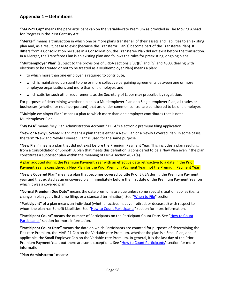"**MAP-21 Cap"** means the per-Participant cap on the Variable-rate Premium as provided in The Moving Ahead for Progress in the 21st Century Act.

"**Merger**" means a transaction in which one or more plans transfer all of their assets and liabilities to an existing plan and, as a result, cease to exist (because the Transferor Plan(s) become part of the Transferee Plan). It differs from a Consolidation because in a Consolidation, the Transferee Plan did not exist before the transaction. In a Merger, the Transferee Plan is an existing plan and follows the rules for preexisting, ongoing plans.

"**Multiemployer Plan**" (subject to the provisions of ERISA sections 3(37)(E) and (G) and 4303, dealing with elections to be treated or not to be treated as a Multiemployer Plan) means a plan:

- to which more than one employer is required to contribute,
- which is maintained pursuant to one or more collective bargaining agreements between one or more employee organizations and more than one employer, and
- which satisfies such other requirements as the Secretary of Labor may prescribe by regulation.

For purposes of determining whether a plan is a Multiemployer Plan or a Single-employer Plan, all trades or businesses (whether or not incorporated) that are under common control are considered to be one employer.

"**Multiple-employer Plan**" means a plan to which more than one employer contributes that is not a Multiemployer Plan.

"**My PAA**" means "My Plan Administration Account," PBGC's electronic premium filing application.

**"New or Newly Covered Plan"** means a plan that is either a New Plan or a Newly Covered Plan. In some cases, the term "New and Newly Covered Plan" is used for the same purpose.

**"New Plan"** means a plan that did not exist before the Premium Payment Year. This includes a plan resulting from a Consolidation or Spinoff. A plan that meets this definition is considered to be a New Plan even if the plan constitutes a successor plan within the meaning of ERISA section 4021(a).

A plan adopted during the Premium Payment Year with an effective date retroactive to a date in the Prior Payment Year is considered a New Plan for the Prior Premium Payment Year, not the Premium Payment Year.

**"Newly Covered Plan"** means a plan that becomes covered by title IV of ERISA during the Premium Payment year and that existed as an uncovered plan immediately before the first date of the Premium Payment Year on which it was a covered plan.

**"Normal Premium Due Date"** means the date premiums are due unless some special situation applies (i.e., a change in plan year, first time filing, or a standard termination). See ["When to File"](#page-6-0) section.

"**Participant"** of a plan means an individual (whether active, inactive, retired, or deceased) with respect to whom the plan has Benefit Liabilities. See ["How to Count Participants"](#page-11-0) section for more information.

**"Participant Count"** means the number of Participants on the Participant Count Date. See ["How to Count](#page-11-0)  [Participants"](#page-11-0) section for more information.

**"Participant Count Date"** means the date on which Participants are counted for purposes of determining the Flat-rate Premium, the MAP-21 Cap on the Variable-rate Premium, whether the plan is a Small Plan, and, if applicable, the Small Employer Cap on the Variable-rate Premium. In general, it is the last day of the Prior Premium Payment Year, but there are some exceptions. See ["How to Count Participants"](#page-11-0) section for more information.

"**Plan Administrator**" means: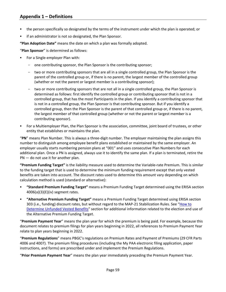- the person specifically so designated by the terms of the instrument under which the plan is operated; or
- if an administrator is not so designated, the Plan Sponsor.

**"Plan Adoption Date"** means the date on which a plan was formally adopted.

"**Plan Sponsor**" is determined as follows:

- For a Single-employer Plan with:
	- one contributing sponsor, the Plan Sponsor is the contributing sponsor;
	- two or more contributing sponsors that are all in a single controlled group, the Plan Sponsor is the parent of the controlled group or, if there is no parent, the largest member of the controlled group (whether or not the parent or largest member is a contributing sponsor);
	- two or more contributing sponsors that are not all in a single controlled group, the Plan Sponsor is determined as follows: first identify the controlled group or contributing sponsor that is not in a controlled group, that has the most Participants in the plan. If you identify a contributing sponsor that is not in a controlled group, the Plan Sponsor is that contributing sponsor. But if you identify a controlled group, then the Plan Sponsor is the parent of that controlled group or, if there is no parent, the largest member of that controlled group (whether or not the parent or largest member is a contributing sponsor).
- For a Multiemployer Plan, the Plan Sponsor is the association, committee, joint board of trustees, or other entity that establishes or maintains the plan.

"**PN**" means Plan Number. This is always a three-digit number. The employer maintaining the plan assigns this number to distinguish among employee benefit plans established or maintained by the same employer. An employer usually starts numbering pension plans at "001" and uses consecutive Plan Numbers for each additional plan. Once a PN is assigned, always use it to identify the same plan. If a plan is terminated, retire the PN — do not use it for another plan.

<span id="page-60-0"></span>**"Premium Funding Target"** is the liability measure used to determine the Variable-rate Premium. This is similar to the funding target that is used to determine the minimum funding requirement except that only vested benefits are taken into account. The discount rates used to determine this amount vary depending on which calculation method is used (standard or alternative):

- **"Standard Premium Funding Target"** means a Premium Funding Target determined using the ERISA section 4006(a)(3)(E)(iv) segment rates.
- **"Alternative Premium Funding Target"** means a Premium Funding Target determined using ERISA section 303 (i.e., funding) discount rates, but without regard to the MAP-21 Stabilization Rules. See ["How to](#page-15-0)  [Determine Unfunded Vested Benefits"](#page-15-0) section for additional information related to the election and use of the Alternative Premium Funding Target.

"**Premium Payment Year**" means the plan year for which the premium is being paid. For example, because this document relates to premium filings for plan years beginning in 2022, all references to Premium Payment Year relate to plan years beginning in 2022.

"**Premium Regulations**" means PBGC's regulations on Premium Rates and Payment of Premiums (29 CFR Parts 4006 and 4007). The premium filing procedures (including the My PAA electronic filing application, paper instructions, and forms) are prescribed under and implement the Premium Regulations.

"**Prior Premium Payment Year**" means the plan year immediately preceding the Premium Payment Year.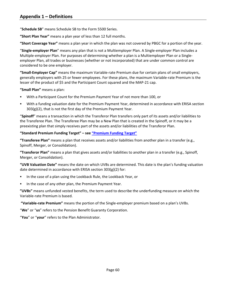"**Schedule SB**" means Schedule SB to the Form 5500 Series.

**"Short Plan Year"** means a plan year of less than 12 full months.

**"Short Coverage Year"** means a plan year in which the plan was not covered by PBGC for a portion of the year.

"**Single-employer Plan**" means any plan that is not a Multiemployer Plan. A Single-employer Plan includes a Multiple-employer Plan. For purposes of determining whether a plan is a Multiemployer Plan or a Singleemployer Plan, all trades or businesses (whether or not incorporated) that are under common control are considered to be one employer.

**"Small-Employer Cap"** means the maximum Variable-rate Premium due for certain plans of small employers, generally employers with 25 or fewer employees. For these plans, the maximum Variable-rate Premium is the lesser of the product of \$5 and the Participant Count squared and the MAP-21 cap.

<span id="page-61-0"></span>**"Small Plan"** means a plan:

- With a Participant Count for the Premium Payment Year of not more than 100, or
- With a funding valuation date for the Premium Payment Year, determined in accordance with ERISA section 303(g)(2), that is not the first day of the Premium Payment Year.

"**Spinoff**" means a transaction in which the Transferor Plan transfers only part of its assets and/or liabilities to the Transferee Plan. The Transferee Plan may be a New Plan that is created in the Spinoff, or it may be a preexisting plan that simply receives part of the assets and/or liabilities of the Transferor Plan.

# **"Standard Premium Funding Target" – se[e "Premium Funding Target"](#page-60-0)**

**"Transferee Plan"** means a plan that receives assets and/or liabilities from another plan in a transfer (e.g., Spinoff, Merger, or Consolidation).

**"Transferor Plan"** means a plan that gives assets and/or liabilities to another plan in a transfer (e.g., Spinoff, Merger, or Consolidation).

**"UVB Valuation Date"** means the date on which UVBs are determined. This date is the plan's funding valuation date determined in accordance with ERISA section 303(g)(2) for:

- In the case of a plan using the Lookback Rule, the Lookback Year, or
- In the case of any other plan, the Premium Payment Year.

**"UVBs"** means unfunded vested benefits, the term used to describe the underfunding measure on which the Variable-rate Premium is based.

**"Variable-rate Premium"** means the portion of the Single-employer premium based on a plan's UVBs.

"**We**" or "**us**" refers to the Pension Benefit Guaranty Corporation.

"**You**" or "**your**" refers to the Plan Administrator.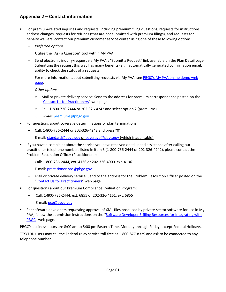- <span id="page-62-0"></span> For premium-related inquiries and requests, including premium filing questions, requests for instructions, address changes, requests for refunds (that are not submitted with premium filings), and requests for penalty waivers, contact our premium customer service center using one of these following options:
	- ─ *Preferred options:*

Utilize the "Ask a Question" tool within My PAA.

- Send electronic inquiry/request via My PAA's "Submit a Request" link available on the Plan Detail page. Submitting the request this way has many benefits (e.g., automatically generated confirmation email, ability to check the status of a requests).

For more information about submitting requests via My PAA, see [PBGC's My PAA online demo web](https://www.pbgc.gov/prac/prem/online-premium-filing-with-my-paa/my-paa-online-demonstrations)  [page.](https://www.pbgc.gov/prac/prem/online-premium-filing-with-my-paa/my-paa-online-demonstrations)

- ─ *Other options:*
	- o Mail or private delivery service: Send to the address for premium correspondence posted on the ["Contact Us for Practitioners"](https://www.pbgc.gov/about/pg/contact/contact-prac) web page.
	- o Call: 1-800-736-2444 or 202-326-4242 and select option 2 (premiums).
	- o E-mail: [premiums@pbgc.gov](mailto:pbgc_premiums@custhelp.com)
- For questions about coverage determinations or plan terminations:
	- ─ Call: 1-800-736-2444 or 202-326-4242 and press "0"
	- E-mail: [standard@pbgc.gov](mailto:standard@pbgc.gov) or [coverage@pbgc.gov](mailto:coverage@pbgc.gov) (which is applicable)
- If you have a complaint about the service you have received or still need assistance after calling our practitioner telephone numbers listed in item 3 (1-800-736-2444 or 202-326-4242), please contact the Problem Resolution Officer (Practitioners):
	- ─ Call: 1-800-736-2444, ext. 4136 or 202-326-4000, ext. 4136
	- ─ E-mail: [practitioner.pro@pbgc.gov](mailto:practitioner.pro@pbgc.gov)
	- ─ Mail or private delivery service: Send to the address for the Problem Resolution Officer posted on the ["Contact Us for Practitioners"](https://www.pbgc.gov/about/pg/contact/contact-prac) web page.
- For questions about our Premium Compliance Evaluation Program:
	- ─ Call: 1-800-736-2444, ext. 6855 or 202-326-4161, ext. 6855
	- ─ E-mail: [pce@pbgc.gov](mailto:pce@pbgc.gov)
- For software developers requesting approval of XML files produced by private-sector software for use in My PAA, follow the submission instructions on the ["Software Developer E-filing Resources for Integrating with](https://www.pbgc.gov/prac/prem/filings/e-filing-resources)  [PBGC"](https://www.pbgc.gov/prac/prem/filings/e-filing-resources) web page.

PBGC's business hours are 8:00 am to 5:00 pm Eastern Time, Monday through Friday, except Federal Holidays.

TTY/TDD users may call the Federal relay service toll-free at 1-800-877-8339 and ask to be connected to any telephone number.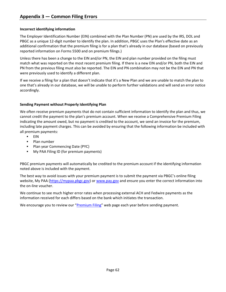# <span id="page-63-0"></span>**Incorrect identifying information**

The Employer Identification Number (EIN) combined with the Plan Number (PN) are used by the IRS, DOL and PBGC as a unique 12-digit number to identify the plan. In addition, PBGC uses the Plan's effective date as an additional confirmation that the premium filing is for a plan that's already in our database (based on previously reported information on Forms 5500 and on premium filings.)

Unless there has been a change to the EIN and/or PN, the EIN and plan number provided on the filing must match what was reported on the most recent premium filing. If there is a new EIN and/or PN, both the EIN and PN from the previous filing must also be reported. The EIN and PN combination may not be the EIN and PN that were previously used to identify a different plan.

If we receive a filing for a plan that doesn't indicate that it's a New Plan and we are unable to match the plan to one that's already in our database, we will be unable to perform further validations and will send an error notice accordingly.

# **Sending Payment without Properly Identifying Plan**

We often receive premium payments that do not contain sufficient information to identify the plan and thus, we cannot credit the payment to the plan's premium account. When we receive a Comprehensive Premium Filing indicating the amount owed, but no payment is credited to the account, we send an invoice for the premium, including late payment charges. This can be avoided by ensuring that the following information be included with all premium payments:

- $EIN$
- · Plan number
- **Plan year Commencing Date (PYC)**
- My PAA Filing ID (for premium payments)

PBGC premium payments will automatically be credited to the premium account if the identifying information noted above is included with the payment.

The best way to avoid issues with your premium payment is to submit the payment via PBGC's online filing website, My PAA (https://mypaa.pbgc.gov) or [www.pay.gov](http://www.pay.gov/) and ensure you enter the correct information into the on-line voucher.

We continue to see much higher error rates when processing external ACH and Fedwire payments as the information received for each differs based on the bank which initiates the transaction.

We encourage you to review our ["Premium Filing"](https://www.pbgc.gov/prac/prem/premium-filing-payment-and-instructions) web page each year before sending payment.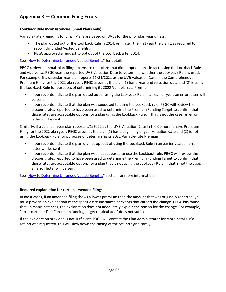# **Lookback Rule inconsistencies (Small Plans only)**

Variable-rate Premiums for Small Plans are based on UVBs for the prior plan year unless:

- The plan opted out of the Lookback Rule in 2014, or if later, the first year the plan was required to report Unfunded Vested Benefits.
- PBGC approved a request to opt out of the Lookback after 2014.

See ["How to Determine Unfunded Vested Benefits"](#page-15-0) for details.

PBGC reviews all small plan filings to ensure that plans that didn't opt out are, in fact, using the Lookback Rule and vice versa. PBGC uses the reported UVB Valuation Date to determine whether the Lookback Rule is used. For example, if a calendar year plan reports 12/31/2021 as the UVB Valuation Date in the Comprehensive Premium Filing for the 2022 plan year, PBGC assumes the plan (1) has a year-end valuation date and (2) is using the Lookback Rule for purposes of determining its 2022 Variable-rate Premium.

- If our records indicate the plan opted out of using the Lookback Rule in an earlier year, an error letter will be sent.
- **If our records indicate that the plan was supposed to using the Lookback rule, PBGC will review the** discount rates reported to have been used to determine the Premium Funding Target to confirm that those rates are acceptable options for a plan using the Lookback Rule. If that is not the case, an error letter will be sent.

Similarly, if a calendar year plan reports 1/1/2022 as the UVB Valuation Date in the Comprehensive Premium Filing for the 2022 plan year, PBGC assumes the plan (1) has a beginning of year valuation date and (2) is not using the Lookback Rule for purposes of determining its 2022 Variable-rate Premium.

- If our records indicate the plan did not opt out of using the Lookback Rule in an earlier year, an error letter will be sent.
- If our records indicate that the plan was not supposed to use the Lookback rule, PBGC will review the discount rates reported to have been used to determine the Premium Funding Target to confirm that those rates are acceptable options for a plan that is not using the Lookback Rule. If that is not the case, an error letter will be sent.

See ["How to Determine Unfunded Vested Benefits"](#page-15-0) section for more information.

# **Required explanation for certain amended filings**

In most cases, if an amended filing shows a lower premium than the amount that was originally reported, you must provide an explanation of the specific circumstances or events that caused the change. PBGC has found that, in many instances, the explanation does not adequately explain the reason for the change. For example, "error corrected" or "premium funding target recalculated" does not suffice.

If the explanation provided is not sufficient, PBGC will contact the Plan Administrator for more details. If a refund was requested, this will slow down the timing of the refund significantly.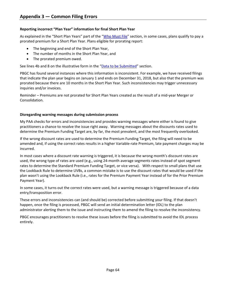# **Reporting incorrect "Plan Year" information for final Short Plan Year**

As explained in the "Short Plan Years" part of the ["Who Must File"](#page-4-0) section, in some cases, plans qualify to pay a prorated premium for a Short Plan Year. Plans eligible for prorating report:

- The beginning and end of the Short Plan Year,
- The number of months in the Short Plan Year, and
- The prorated premium owed.

See lines 4b and 8 on the illustrative form in the ["Data to be Submitted"](#page-32-0) section.

PBGC has found several instances where this information is inconsistent. For example, we have received filings that indicate the plan year begins on January 1 and ends on December 31, 2018, but also that the premium was prorated because there are 10 months in the Short Plan Year. Such inconsistencies may trigger unnecessary inquiries and/or invoices.

Reminder – Premiums are not prorated for Short Plan Years created as the result of a mid-year Merger or Consolidation.

# **Disregarding warning messages during submission process**

My PAA checks for errors and inconsistencies and provides warning messages where either is found to give practitioners a chance to resolve the issue right away. Warning messages about the discounts rates used to determine the Premium Funding Target are, by far, the most prevalent, and the most frequently overlooked.

If the wrong discount rates are used to determine the Premium Funding Target, the filing will need to be amended and, if using the correct rates results in a higher Variable-rate Premium, late payment charges may be incurred.

In most cases where a discount rate warning is triggered, it is because the wrong month's discount rates are used, the wrong type of rates are used (e.g., using 24-month average segments rates instead of spot segment rates to determine the Standard Premium Funding Target, or vice versa). With respect to small plans that use the Lookback Rule to determine UVBs, a common mistake is to use the discount rates that would be used if the plan wasn't using the Lookback Rule (i.e., rates for the Premium Payment Year instead of for the Prior Premium Payment Year).

In some cases, it turns out the correct rates were used, but a warning message is triggered because of a data entry/transposition error.

These errors and inconsistencies can (and should be) corrected before submitting your filing. If that doesn't happen, once the filing is processed, PBGC will send an initial determination letter (IDL) to the plan administrator alerting them to the issue and instructing them to amend the filing to resolve the inconsistency.

PBGC encourages practitioners to resolve these issues before the filing is submitted to avoid the IDL process entirely.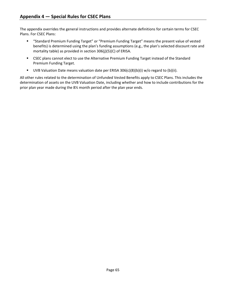<span id="page-66-0"></span>The appendix overrides the general instructions and provides alternate definitions for certain terms for CSEC Plans. For CSEC Plans:

- "Standard Premium Funding Target" or "Premium Funding Target" means the present value of vested benefits) is determined using the plan's funding assumptions (e.g., the plan's selected discount rate and mortality table) as provided in section 306(j)(5)(C) of ERISA.
- **EXEC plans cannot elect to use the Alternative Premium Funding Target instead of the Standard** Premium Funding Target.
- UVB Valuation Date means valuation date per ERISA 306(c)(8)(b)(i) w/o regard to (b)(ii).

All other rules related to the determination of Unfunded Vested Benefits apply to CSEC Plans. This includes the determination of assets on the UVB Valuation Date, including whether and how to include contributions for the prior plan year made during the 8½ month period after the plan year ends.